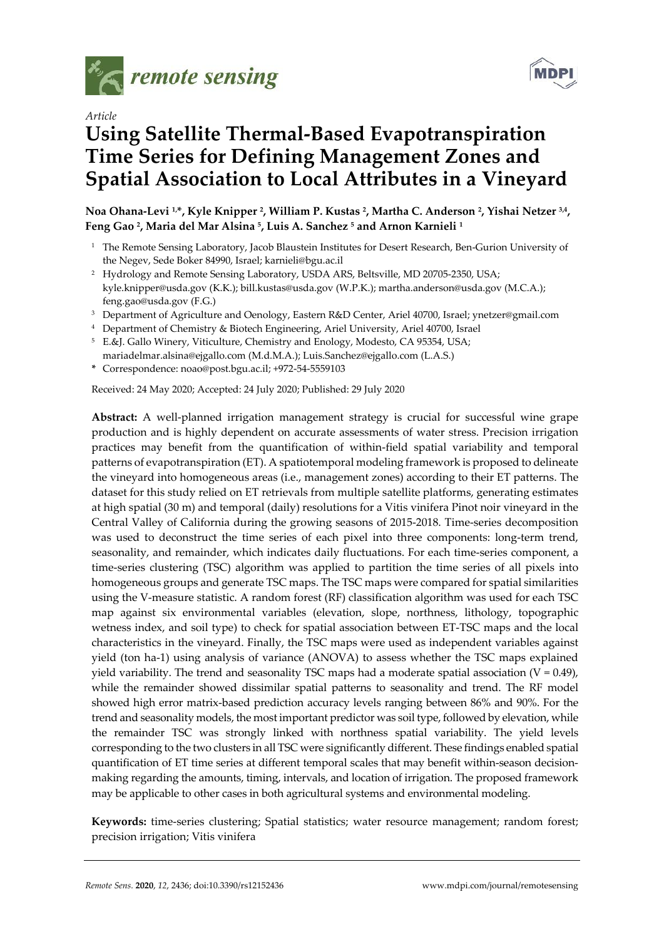



# *Article*  **Using Satellite Thermal-Based Evapotranspiration Time Series for Defining Management Zones and Spatial Association to Local Attributes in a Vineyard**

**Noa Ohana-Levi 1,\*, Kyle Knipper 2, William P. Kustas 2, Martha C. Anderson 2, Yishai Netzer 3,4, Feng Gao 2, Maria del Mar Alsina 5, Luis A. Sanchez 5 and Arnon Karnieli 1**

- <sup>1</sup> The Remote Sensing Laboratory, Jacob Blaustein Institutes for Desert Research, Ben-Gurion University of the Negev, Sede Boker 84990, Israel; karnieli@bgu.ac.il
- <sup>2</sup> Hydrology and Remote Sensing Laboratory, USDA ARS, Beltsville, MD 20705-2350, USA; kyle.knipper@usda.gov (K.K.); bill.kustas@usda.gov (W.P.K.); martha.anderson@usda.gov (M.C.A.); feng.gao@usda.gov (F.G.)
- 3 Department of Agriculture and Oenology, Eastern R&D Center, Ariel 40700, Israel; ynetzer@gmail.com
- 4 Department of Chemistry & Biotech Engineering, Ariel University, Ariel 40700, Israel
- 5 E.&J. Gallo Winery, Viticulture, Chemistry and Enology, Modesto, CA 95354, USA;
- mariadelmar.alsina@ejgallo.com (M.d.M.A.); Luis.Sanchez@ejgallo.com (L.A.S.)
- **\*** Correspondence: noao@post.bgu.ac.il; +972-54-5559103

Received: 24 May 2020; Accepted: 24 July 2020; Published: 29 July 2020

**Abstract:** A well-planned irrigation management strategy is crucial for successful wine grape production and is highly dependent on accurate assessments of water stress. Precision irrigation practices may benefit from the quantification of within-field spatial variability and temporal patterns of evapotranspiration (ET). A spatiotemporal modeling framework is proposed to delineate the vineyard into homogeneous areas (i.e., management zones) according to their ET patterns. The dataset for this study relied on ET retrievals from multiple satellite platforms, generating estimates at high spatial (30 m) and temporal (daily) resolutions for a Vitis vinifera Pinot noir vineyard in the Central Valley of California during the growing seasons of 2015-2018. Time-series decomposition was used to deconstruct the time series of each pixel into three components: long-term trend, seasonality, and remainder, which indicates daily fluctuations. For each time-series component, a time-series clustering (TSC) algorithm was applied to partition the time series of all pixels into homogeneous groups and generate TSC maps. The TSC maps were compared for spatial similarities using the V-measure statistic. A random forest (RF) classification algorithm was used for each TSC map against six environmental variables (elevation, slope, northness, lithology, topographic wetness index, and soil type) to check for spatial association between ET-TSC maps and the local characteristics in the vineyard. Finally, the TSC maps were used as independent variables against yield (ton ha-1) using analysis of variance (ANOVA) to assess whether the TSC maps explained yield variability. The trend and seasonality TSC maps had a moderate spatial association  $(V = 0.49)$ , while the remainder showed dissimilar spatial patterns to seasonality and trend. The RF model showed high error matrix-based prediction accuracy levels ranging between 86% and 90%. For the trend and seasonality models, the most important predictor was soil type, followed by elevation, while the remainder TSC was strongly linked with northness spatial variability. The yield levels corresponding to the two clusters in all TSC were significantly different. These findings enabled spatial quantification of ET time series at different temporal scales that may benefit within-season decisionmaking regarding the amounts, timing, intervals, and location of irrigation. The proposed framework may be applicable to other cases in both agricultural systems and environmental modeling.

**Keywords:** time-series clustering; Spatial statistics; water resource management; random forest; precision irrigation; Vitis vinifera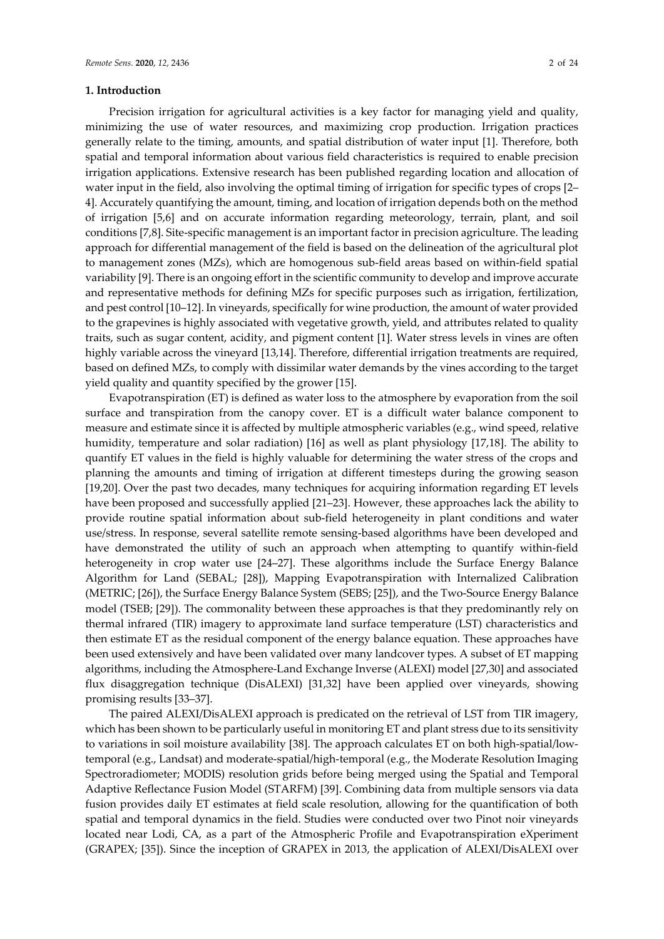## **1. Introduction**

Precision irrigation for agricultural activities is a key factor for managing yield and quality, minimizing the use of water resources, and maximizing crop production. Irrigation practices generally relate to the timing, amounts, and spatial distribution of water input [1]. Therefore, both spatial and temporal information about various field characteristics is required to enable precision irrigation applications. Extensive research has been published regarding location and allocation of water input in the field, also involving the optimal timing of irrigation for specific types of crops [2– 4]. Accurately quantifying the amount, timing, and location of irrigation depends both on the method of irrigation [5,6] and on accurate information regarding meteorology, terrain, plant, and soil conditions [7,8]. Site-specific management is an important factor in precision agriculture. The leading approach for differential management of the field is based on the delineation of the agricultural plot to management zones (MZs), which are homogenous sub-field areas based on within-field spatial variability [9]. There is an ongoing effort in the scientific community to develop and improve accurate and representative methods for defining MZs for specific purposes such as irrigation, fertilization, and pest control [10–12]. In vineyards, specifically for wine production, the amount of water provided to the grapevines is highly associated with vegetative growth, yield, and attributes related to quality traits, such as sugar content, acidity, and pigment content [1]. Water stress levels in vines are often highly variable across the vineyard [13,14]. Therefore, differential irrigation treatments are required, based on defined MZs, to comply with dissimilar water demands by the vines according to the target yield quality and quantity specified by the grower [15].

Evapotranspiration (ET) is defined as water loss to the atmosphere by evaporation from the soil surface and transpiration from the canopy cover. ET is a difficult water balance component to measure and estimate since it is affected by multiple atmospheric variables (e.g., wind speed, relative humidity, temperature and solar radiation) [16] as well as plant physiology [17,18]. The ability to quantify ET values in the field is highly valuable for determining the water stress of the crops and planning the amounts and timing of irrigation at different timesteps during the growing season [19,20]. Over the past two decades, many techniques for acquiring information regarding ET levels have been proposed and successfully applied [21–23]. However, these approaches lack the ability to provide routine spatial information about sub-field heterogeneity in plant conditions and water use/stress. In response, several satellite remote sensing-based algorithms have been developed and have demonstrated the utility of such an approach when attempting to quantify within-field heterogeneity in crop water use [24–27]. These algorithms include the Surface Energy Balance Algorithm for Land (SEBAL; [28]), Mapping Evapotranspiration with Internalized Calibration (METRIC; [26]), the Surface Energy Balance System (SEBS; [25]), and the Two-Source Energy Balance model (TSEB; [29]). The commonality between these approaches is that they predominantly rely on thermal infrared (TIR) imagery to approximate land surface temperature (LST) characteristics and then estimate ET as the residual component of the energy balance equation. These approaches have been used extensively and have been validated over many landcover types. A subset of ET mapping algorithms, including the Atmosphere-Land Exchange Inverse (ALEXI) model [27,30] and associated flux disaggregation technique (DisALEXI) [31,32] have been applied over vineyards, showing promising results [33–37].

The paired ALEXI/DisALEXI approach is predicated on the retrieval of LST from TIR imagery, which has been shown to be particularly useful in monitoring ET and plant stress due to its sensitivity to variations in soil moisture availability [38]. The approach calculates ET on both high-spatial/lowtemporal (e.g., Landsat) and moderate-spatial/high-temporal (e.g., the Moderate Resolution Imaging Spectroradiometer; MODIS) resolution grids before being merged using the Spatial and Temporal Adaptive Reflectance Fusion Model (STARFM) [39]. Combining data from multiple sensors via data fusion provides daily ET estimates at field scale resolution, allowing for the quantification of both spatial and temporal dynamics in the field. Studies were conducted over two Pinot noir vineyards located near Lodi, CA, as a part of the Atmospheric Profile and Evapotranspiration eXperiment (GRAPEX; [35]). Since the inception of GRAPEX in 2013, the application of ALEXI/DisALEXI over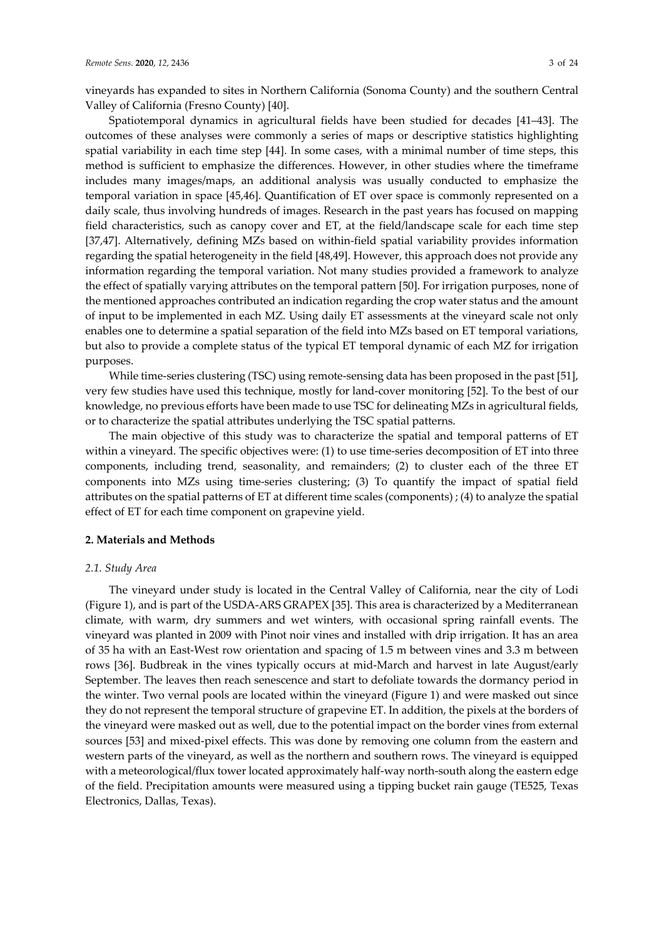vineyards has expanded to sites in Northern California (Sonoma County) and the southern Central Valley of California (Fresno County) [40].

Spatiotemporal dynamics in agricultural fields have been studied for decades [41–43]. The outcomes of these analyses were commonly a series of maps or descriptive statistics highlighting spatial variability in each time step [44]. In some cases, with a minimal number of time steps, this method is sufficient to emphasize the differences. However, in other studies where the timeframe includes many images/maps, an additional analysis was usually conducted to emphasize the temporal variation in space [45,46]. Quantification of ET over space is commonly represented on a daily scale, thus involving hundreds of images. Research in the past years has focused on mapping field characteristics, such as canopy cover and ET, at the field/landscape scale for each time step [37,47]. Alternatively, defining MZs based on within-field spatial variability provides information regarding the spatial heterogeneity in the field [48,49]. However, this approach does not provide any information regarding the temporal variation. Not many studies provided a framework to analyze the effect of spatially varying attributes on the temporal pattern [50]. For irrigation purposes, none of the mentioned approaches contributed an indication regarding the crop water status and the amount of input to be implemented in each MZ. Using daily ET assessments at the vineyard scale not only enables one to determine a spatial separation of the field into MZs based on ET temporal variations, but also to provide a complete status of the typical ET temporal dynamic of each MZ for irrigation purposes.

While time-series clustering (TSC) using remote-sensing data has been proposed in the past [51], very few studies have used this technique, mostly for land-cover monitoring [52]. To the best of our knowledge, no previous efforts have been made to use TSC for delineating MZs in agricultural fields, or to characterize the spatial attributes underlying the TSC spatial patterns.

The main objective of this study was to characterize the spatial and temporal patterns of ET within a vineyard. The specific objectives were: (1) to use time-series decomposition of ET into three components, including trend, seasonality, and remainders; (2) to cluster each of the three ET components into MZs using time-series clustering; (3) To quantify the impact of spatial field attributes on the spatial patterns of ET at different time scales (components) ; (4) to analyze the spatial effect of ET for each time component on grapevine yield.

#### **2. Materials and Methods**

#### *2.1. Study Area*

The vineyard under study is located in the Central Valley of California, near the city of Lodi (Figure 1), and is part of the USDA-ARS GRAPEX [35]. This area is characterized by a Mediterranean climate, with warm, dry summers and wet winters, with occasional spring rainfall events. The vineyard was planted in 2009 with Pinot noir vines and installed with drip irrigation. It has an area of 35 ha with an East-West row orientation and spacing of 1.5 m between vines and 3.3 m between rows [36]. Budbreak in the vines typically occurs at mid-March and harvest in late August/early September. The leaves then reach senescence and start to defoliate towards the dormancy period in the winter. Two vernal pools are located within the vineyard (Figure 1) and were masked out since they do not represent the temporal structure of grapevine ET. In addition, the pixels at the borders of the vineyard were masked out as well, due to the potential impact on the border vines from external sources [53] and mixed-pixel effects. This was done by removing one column from the eastern and western parts of the vineyard, as well as the northern and southern rows. The vineyard is equipped with a meteorological/flux tower located approximately half-way north-south along the eastern edge of the field. Precipitation amounts were measured using a tipping bucket rain gauge (TE525, Texas Electronics, Dallas, Texas).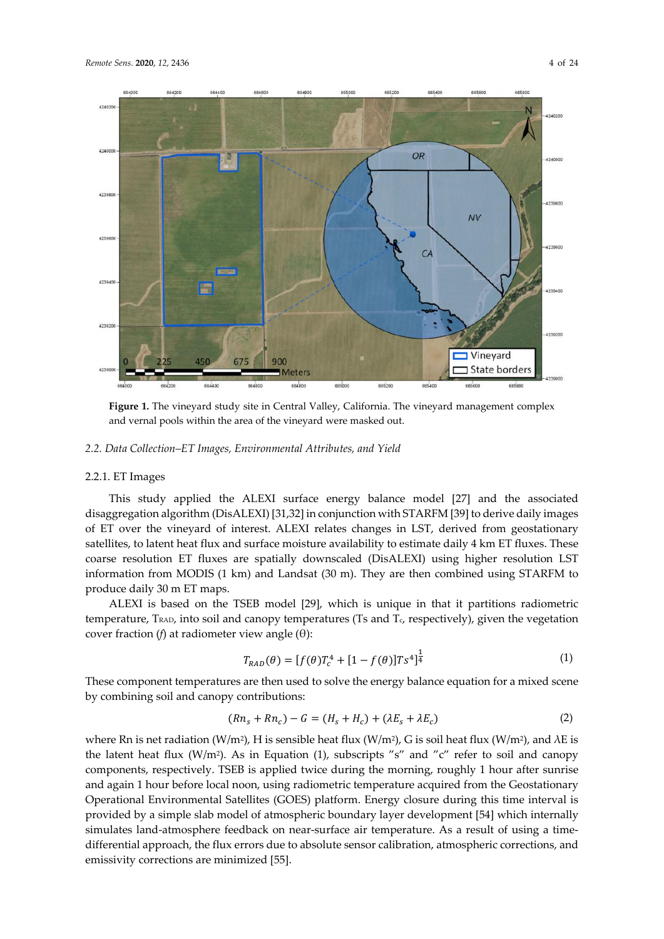

**Figure 1.** The vineyard study site in Central Valley, California. The vineyard management complex and vernal pools within the area of the vineyard were masked out.

#### *2.2. Data Collection–ET Images, Environmental Attributes, and Yield*

#### 2.2.1. ET Images

This study applied the ALEXI surface energy balance model [27] and the associated disaggregation algorithm (DisALEXI) [31,32] in conjunction with STARFM [39] to derive daily images of ET over the vineyard of interest. ALEXI relates changes in LST, derived from geostationary satellites, to latent heat flux and surface moisture availability to estimate daily 4 km ET fluxes. These coarse resolution ET fluxes are spatially downscaled (DisALEXI) using higher resolution LST information from MODIS (1 km) and Landsat (30 m). They are then combined using STARFM to produce daily 30 m ET maps.

ALEXI is based on the TSEB model [29], which is unique in that it partitions radiometric temperature,  $T_{\text{RAD}}$ , into soil and canopy temperatures (Ts and  $T_c$ , respectively), given the vegetation cover fraction (*f*) at radiometer view angle (θ):

$$
T_{RAD}(\theta) = [f(\theta)T_c^4 + [1 - f(\theta)]Ts^4]^{\frac{1}{4}}
$$
\n(1)

These component temperatures are then used to solve the energy balance equation for a mixed scene by combining soil and canopy contributions:

$$
(Rns + Rnc) - G = (Hs + Hc) + (\lambda Es + \lambda Ec)
$$
\n(2)

where Rn is net radiation (W/m<sup>2</sup>), H is sensible heat flux (W/m<sup>2</sup>), G is soil heat flux (W/m<sup>2</sup>), and  $\lambda$ E is the latent heat flux (W/m2). As in Equation (1), subscripts "s" and "c" refer to soil and canopy components, respectively. TSEB is applied twice during the morning, roughly 1 hour after sunrise and again 1 hour before local noon, using radiometric temperature acquired from the Geostationary Operational Environmental Satellites (GOES) platform. Energy closure during this time interval is provided by a simple slab model of atmospheric boundary layer development [54] which internally simulates land-atmosphere feedback on near-surface air temperature. As a result of using a timedifferential approach, the flux errors due to absolute sensor calibration, atmospheric corrections, and emissivity corrections are minimized [55].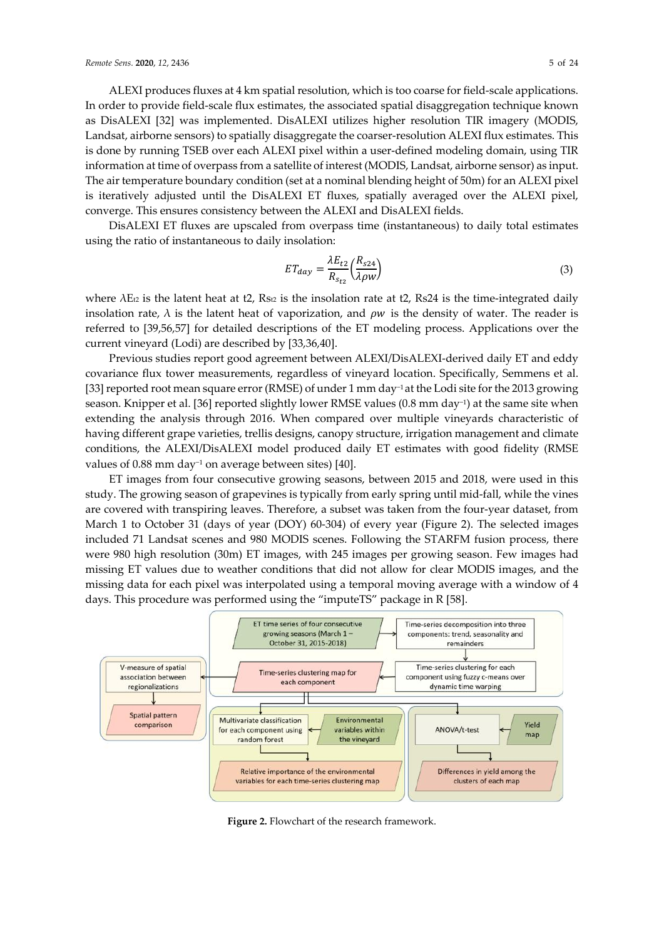ALEXI produces fluxes at 4 km spatial resolution, which is too coarse for field-scale applications. In order to provide field-scale flux estimates, the associated spatial disaggregation technique known as DisALEXI [32] was implemented. DisALEXI utilizes higher resolution TIR imagery (MODIS, Landsat, airborne sensors) to spatially disaggregate the coarser-resolution ALEXI flux estimates. This is done by running TSEB over each ALEXI pixel within a user-defined modeling domain, using TIR information at time of overpass from a satellite of interest (MODIS, Landsat, airborne sensor) as input. The air temperature boundary condition (set at a nominal blending height of 50m) for an ALEXI pixel is iteratively adjusted until the DisALEXI ET fluxes, spatially averaged over the ALEXI pixel, converge. This ensures consistency between the ALEXI and DisALEXI fields.

DisALEXI ET fluxes are upscaled from overpass time (instantaneous) to daily total estimates using the ratio of instantaneous to daily insolation:

$$
ET_{day} = \frac{\lambda E_{t2}}{R_{s_{t2}}} \left(\frac{R_{s24}}{\lambda \rho w}\right)
$$
\n(3)

where  $\lambda E_z$  is the latent heat at t2, Rs $z_2$  is the insolation rate at t2, Rs24 is the time-integrated daily insolation rate,  $\lambda$  is the latent heat of vaporization, and  $\rho w$  is the density of water. The reader is referred to [39,56,57] for detailed descriptions of the ET modeling process. Applications over the current vineyard (Lodi) are described by [33,36,40].

Previous studies report good agreement between ALEXI/DisALEXI-derived daily ET and eddy covariance flux tower measurements, regardless of vineyard location. Specifically, Semmens et al. [33] reported root mean square error (RMSE) of under 1 mm day<sup>-1</sup> at the Lodi site for the 2013 growing season. Knipper et al. [36] reported slightly lower RMSE values (0.8 mm day<sup>-1</sup>) at the same site when extending the analysis through 2016. When compared over multiple vineyards characteristic of having different grape varieties, trellis designs, canopy structure, irrigation management and climate conditions, the ALEXI/DisALEXI model produced daily ET estimates with good fidelity (RMSE values of 0.88 mm day−1 on average between sites) [40].

ET images from four consecutive growing seasons, between 2015 and 2018, were used in this study. The growing season of grapevines is typically from early spring until mid-fall, while the vines are covered with transpiring leaves. Therefore, a subset was taken from the four-year dataset, from March 1 to October 31 (days of year (DOY) 60-304) of every year (Figure 2). The selected images included 71 Landsat scenes and 980 MODIS scenes. Following the STARFM fusion process, there were 980 high resolution (30m) ET images, with 245 images per growing season. Few images had missing ET values due to weather conditions that did not allow for clear MODIS images, and the missing data for each pixel was interpolated using a temporal moving average with a window of 4 days. This procedure was performed using the "imputeTS" package in R [58].



**Figure 2.** Flowchart of the research framework.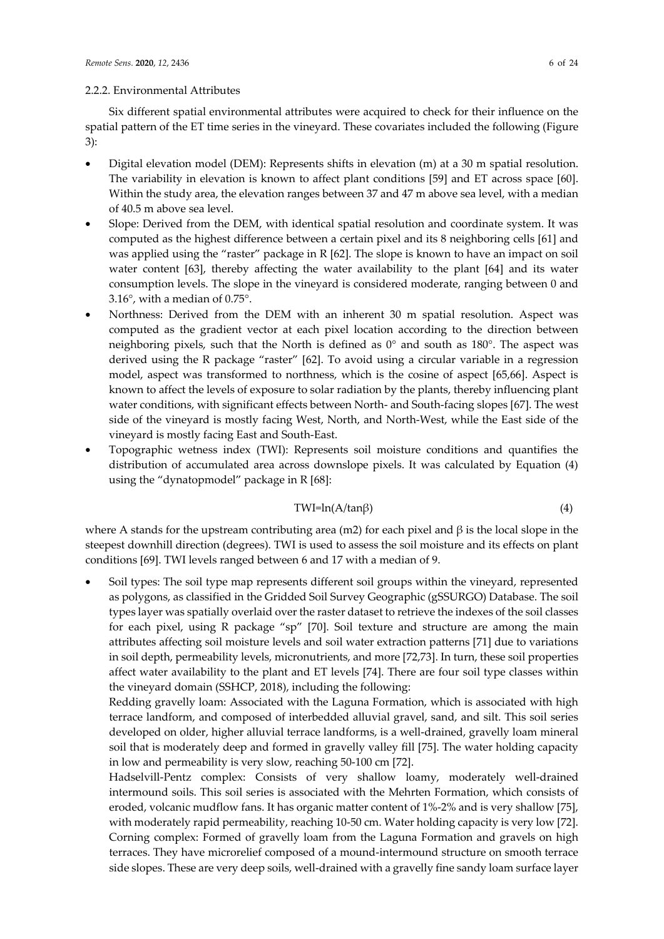# 2.2.2. Environmental Attributes

Six different spatial environmental attributes were acquired to check for their influence on the spatial pattern of the ET time series in the vineyard. These covariates included the following (Figure 3):

- Digital elevation model (DEM): Represents shifts in elevation (m) at a 30 m spatial resolution. The variability in elevation is known to affect plant conditions [59] and ET across space [60]. Within the study area, the elevation ranges between 37 and 47 m above sea level, with a median of 40.5 m above sea level.
- Slope: Derived from the DEM, with identical spatial resolution and coordinate system. It was computed as the highest difference between a certain pixel and its 8 neighboring cells [61] and was applied using the "raster" package in R [62]. The slope is known to have an impact on soil water content [63], thereby affecting the water availability to the plant [64] and its water consumption levels. The slope in the vineyard is considered moderate, ranging between 0 and 3.16°, with a median of 0.75°.
- Northness: Derived from the DEM with an inherent 30 m spatial resolution. Aspect was computed as the gradient vector at each pixel location according to the direction between neighboring pixels, such that the North is defined as  $0^{\circ}$  and south as  $180^{\circ}$ . The aspect was derived using the R package "raster" [62]. To avoid using a circular variable in a regression model, aspect was transformed to northness, which is the cosine of aspect [65,66]. Aspect is known to affect the levels of exposure to solar radiation by the plants, thereby influencing plant water conditions, with significant effects between North- and South-facing slopes [67]. The west side of the vineyard is mostly facing West, North, and North-West, while the East side of the vineyard is mostly facing East and South-East.
- Topographic wetness index (TWI): Represents soil moisture conditions and quantifies the distribution of accumulated area across downslope pixels. It was calculated by Equation (4) using the "dynatopmodel" package in R [68]:

$$
TWI = ln(A/tan\beta) \tag{4}
$$

where A stands for the upstream contributing area (m2) for each pixel and  $\beta$  is the local slope in the steepest downhill direction (degrees). TWI is used to assess the soil moisture and its effects on plant conditions [69]. TWI levels ranged between 6 and 17 with a median of 9.

• Soil types: The soil type map represents different soil groups within the vineyard, represented as polygons, as classified in the Gridded Soil Survey Geographic (gSSURGO) Database. The soil types layer was spatially overlaid over the raster dataset to retrieve the indexes of the soil classes for each pixel, using R package "sp" [70]. Soil texture and structure are among the main attributes affecting soil moisture levels and soil water extraction patterns [71] due to variations in soil depth, permeability levels, micronutrients, and more [72,73]. In turn, these soil properties affect water availability to the plant and ET levels [74]. There are four soil type classes within the vineyard domain (SSHCP, 2018), including the following:

Redding gravelly loam: Associated with the Laguna Formation, which is associated with high terrace landform, and composed of interbedded alluvial gravel, sand, and silt. This soil series developed on older, higher alluvial terrace landforms, is a well-drained, gravelly loam mineral soil that is moderately deep and formed in gravelly valley fill [75]. The water holding capacity in low and permeability is very slow, reaching 50-100 cm [72].

Hadselvill-Pentz complex: Consists of very shallow loamy, moderately well-drained intermound soils. This soil series is associated with the Mehrten Formation, which consists of eroded, volcanic mudflow fans. It has organic matter content of 1%-2% and is very shallow [75], with moderately rapid permeability, reaching 10-50 cm. Water holding capacity is very low [72]. Corning complex: Formed of gravelly loam from the Laguna Formation and gravels on high terraces. They have microrelief composed of a mound-intermound structure on smooth terrace side slopes. These are very deep soils, well-drained with a gravelly fine sandy loam surface layer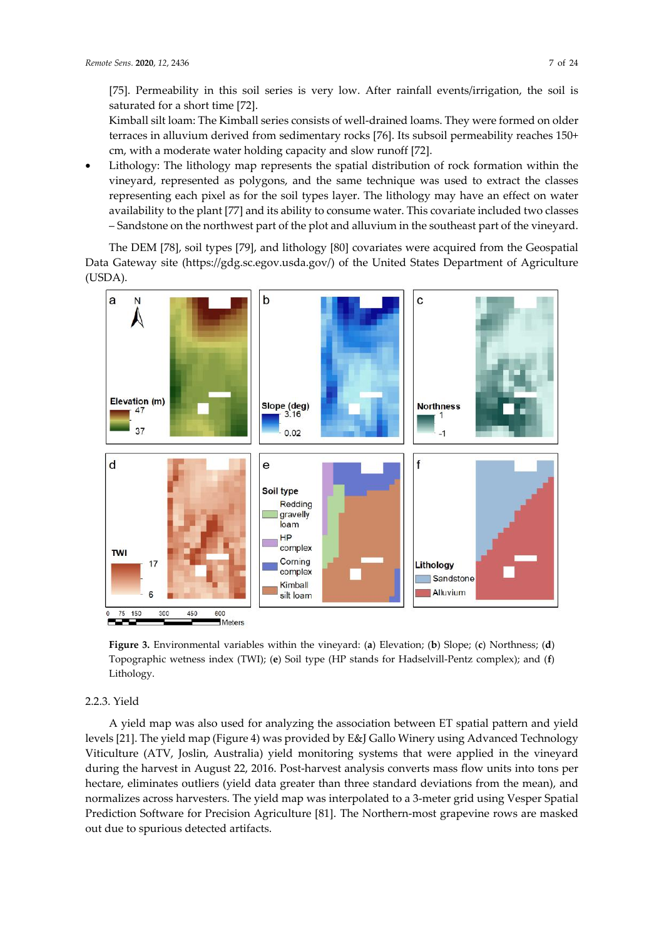[75]. Permeability in this soil series is very low. After rainfall events/irrigation, the soil is saturated for a short time [72].

Kimball silt loam: The Kimball series consists of well-drained loams. They were formed on older terraces in alluvium derived from sedimentary rocks [76]. Its subsoil permeability reaches 150+ cm, with a moderate water holding capacity and slow runoff [72].

• Lithology: The lithology map represents the spatial distribution of rock formation within the vineyard, represented as polygons, and the same technique was used to extract the classes representing each pixel as for the soil types layer. The lithology may have an effect on water availability to the plant [77] and its ability to consume water. This covariate included two classes – Sandstone on the northwest part of the plot and alluvium in the southeast part of the vineyard.

The DEM [78], soil types [79], and lithology [80] covariates were acquired from the Geospatial Data Gateway site (https://gdg.sc.egov.usda.gov/) of the United States Department of Agriculture (USDA).



**Figure 3.** Environmental variables within the vineyard: (**a**) Elevation; (**b**) Slope; (**c**) Northness; (**d**) Topographic wetness index (TWI); (**e**) Soil type (HP stands for Hadselvill-Pentz complex); and (**f**) Lithology.

# 2.2.3. Yield

A yield map was also used for analyzing the association between ET spatial pattern and yield levels [21]. The yield map (Figure 4) was provided by E&J Gallo Winery using Advanced Technology Viticulture (ATV, Joslin, Australia) yield monitoring systems that were applied in the vineyard during the harvest in August 22, 2016. Post-harvest analysis converts mass flow units into tons per hectare, eliminates outliers (yield data greater than three standard deviations from the mean), and normalizes across harvesters. The yield map was interpolated to a 3-meter grid using Vesper Spatial Prediction Software for Precision Agriculture [81]. The Northern-most grapevine rows are masked out due to spurious detected artifacts.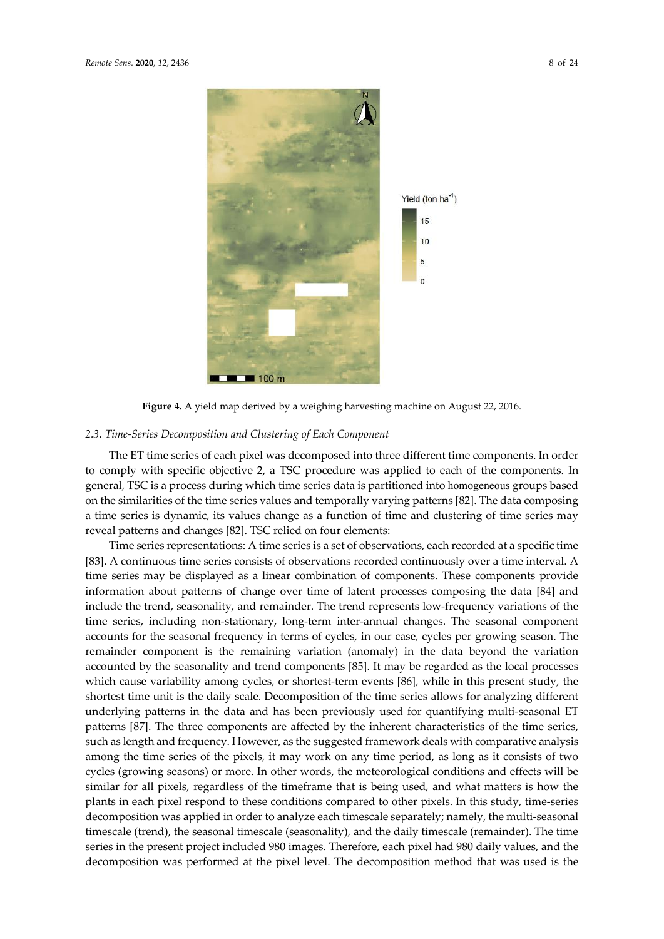

**Figure 4.** A yield map derived by a weighing harvesting machine on August 22, 2016.

## *2.3. Time-Series Decomposition and Clustering of Each Component*

The ET time series of each pixel was decomposed into three different time components. In order to comply with specific objective 2, a TSC procedure was applied to each of the components. In general, TSC is a process during which time series data is partitioned into homogeneous groups based on the similarities of the time series values and temporally varying patterns [82]. The data composing a time series is dynamic, its values change as a function of time and clustering of time series may reveal patterns and changes [82]. TSC relied on four elements:

Time series representations: A time series is a set of observations, each recorded at a specific time [83]. A continuous time series consists of observations recorded continuously over a time interval. A time series may be displayed as a linear combination of components. These components provide information about patterns of change over time of latent processes composing the data [84] and include the trend, seasonality, and remainder. The trend represents low-frequency variations of the time series, including non-stationary, long-term inter-annual changes. The seasonal component accounts for the seasonal frequency in terms of cycles, in our case, cycles per growing season. The remainder component is the remaining variation (anomaly) in the data beyond the variation accounted by the seasonality and trend components [85]. It may be regarded as the local processes which cause variability among cycles, or shortest-term events [86], while in this present study, the shortest time unit is the daily scale. Decomposition of the time series allows for analyzing different underlying patterns in the data and has been previously used for quantifying multi-seasonal ET patterns [87]. The three components are affected by the inherent characteristics of the time series, such as length and frequency. However, as the suggested framework deals with comparative analysis among the time series of the pixels, it may work on any time period, as long as it consists of two cycles (growing seasons) or more. In other words, the meteorological conditions and effects will be similar for all pixels, regardless of the timeframe that is being used, and what matters is how the plants in each pixel respond to these conditions compared to other pixels. In this study, time-series decomposition was applied in order to analyze each timescale separately; namely, the multi-seasonal timescale (trend), the seasonal timescale (seasonality), and the daily timescale (remainder). The time series in the present project included 980 images. Therefore, each pixel had 980 daily values, and the decomposition was performed at the pixel level. The decomposition method that was used is the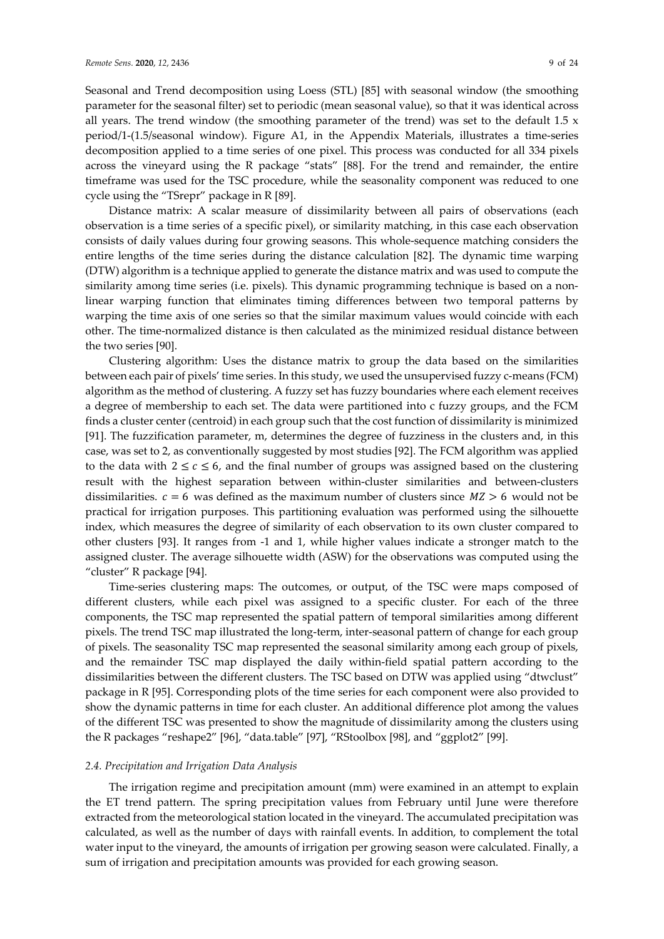Seasonal and Trend decomposition using Loess (STL) [85] with seasonal window (the smoothing parameter for the seasonal filter) set to periodic (mean seasonal value), so that it was identical across all years. The trend window (the smoothing parameter of the trend) was set to the default  $1.5 \times$ period/1-(1.5/seasonal window). Figure A1, in the Appendix Materials, illustrates a time-series decomposition applied to a time series of one pixel. This process was conducted for all 334 pixels across the vineyard using the R package "stats" [88]. For the trend and remainder, the entire timeframe was used for the TSC procedure, while the seasonality component was reduced to one cycle using the "TSrepr" package in R [89].

Distance matrix: A scalar measure of dissimilarity between all pairs of observations (each observation is a time series of a specific pixel), or similarity matching, in this case each observation consists of daily values during four growing seasons. This whole-sequence matching considers the entire lengths of the time series during the distance calculation [82]. The dynamic time warping (DTW) algorithm is a technique applied to generate the distance matrix and was used to compute the similarity among time series (i.e. pixels). This dynamic programming technique is based on a nonlinear warping function that eliminates timing differences between two temporal patterns by warping the time axis of one series so that the similar maximum values would coincide with each other. The time-normalized distance is then calculated as the minimized residual distance between the two series [90].

Clustering algorithm: Uses the distance matrix to group the data based on the similarities between each pair of pixels' time series. In this study, we used the unsupervised fuzzy c-means (FCM) algorithm as the method of clustering. A fuzzy set has fuzzy boundaries where each element receives a degree of membership to each set. The data were partitioned into c fuzzy groups, and the FCM finds a cluster center (centroid) in each group such that the cost function of dissimilarity is minimized [91]. The fuzzification parameter, m, determines the degree of fuzziness in the clusters and, in this case, was set to 2, as conventionally suggested by most studies [92]. The FCM algorithm was applied to the data with  $2 \leq c \leq 6$ , and the final number of groups was assigned based on the clustering result with the highest separation between within-cluster similarities and between-clusters dissimilarities.  $c = 6$  was defined as the maximum number of clusters since  $MZ > 6$  would not be practical for irrigation purposes. This partitioning evaluation was performed using the silhouette index, which measures the degree of similarity of each observation to its own cluster compared to other clusters [93]. It ranges from -1 and 1, while higher values indicate a stronger match to the assigned cluster. The average silhouette width (ASW) for the observations was computed using the "cluster" R package [94].

Time-series clustering maps: The outcomes, or output, of the TSC were maps composed of different clusters, while each pixel was assigned to a specific cluster. For each of the three components, the TSC map represented the spatial pattern of temporal similarities among different pixels. The trend TSC map illustrated the long-term, inter-seasonal pattern of change for each group of pixels. The seasonality TSC map represented the seasonal similarity among each group of pixels, and the remainder TSC map displayed the daily within-field spatial pattern according to the dissimilarities between the different clusters. The TSC based on DTW was applied using "dtwclust" package in R [95]. Corresponding plots of the time series for each component were also provided to show the dynamic patterns in time for each cluster. An additional difference plot among the values of the different TSC was presented to show the magnitude of dissimilarity among the clusters using the R packages "reshape2" [96], "data.table" [97], "RStoolbox [98], and "ggplot2" [99].

## *2.4. Precipitation and Irrigation Data Analysis*

The irrigation regime and precipitation amount (mm) were examined in an attempt to explain the ET trend pattern. The spring precipitation values from February until June were therefore extracted from the meteorological station located in the vineyard. The accumulated precipitation was calculated, as well as the number of days with rainfall events. In addition, to complement the total water input to the vineyard, the amounts of irrigation per growing season were calculated. Finally, a sum of irrigation and precipitation amounts was provided for each growing season.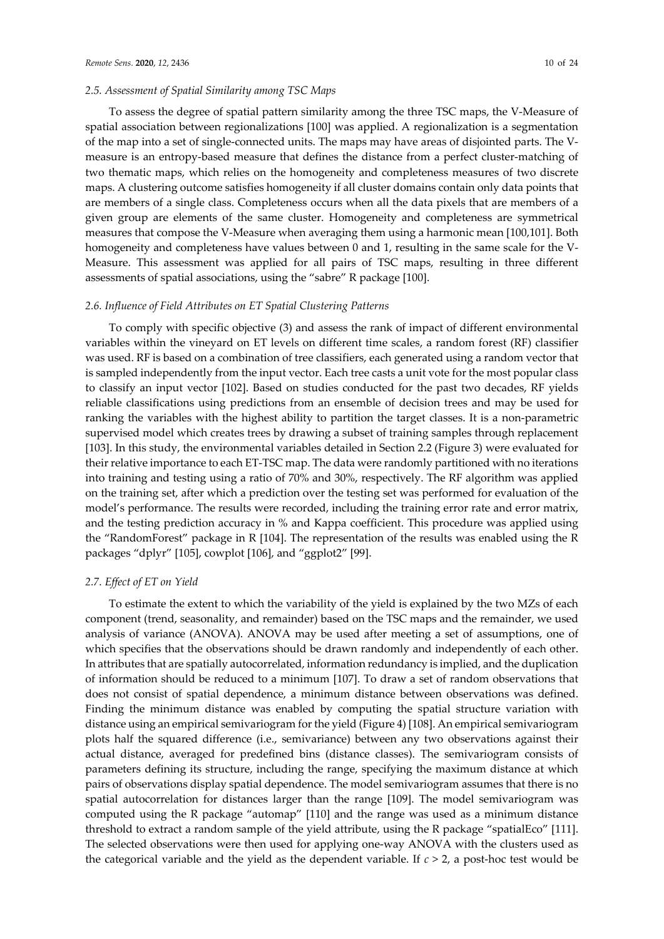# *2.5. Assessment of Spatial Similarity among TSC Maps*

To assess the degree of spatial pattern similarity among the three TSC maps, the V-Measure of spatial association between regionalizations [100] was applied. A regionalization is a segmentation of the map into a set of single-connected units. The maps may have areas of disjointed parts. The Vmeasure is an entropy-based measure that defines the distance from a perfect cluster-matching of two thematic maps, which relies on the homogeneity and completeness measures of two discrete maps. A clustering outcome satisfies homogeneity if all cluster domains contain only data points that are members of a single class. Completeness occurs when all the data pixels that are members of a given group are elements of the same cluster. Homogeneity and completeness are symmetrical measures that compose the V-Measure when averaging them using a harmonic mean [100,101]. Both homogeneity and completeness have values between 0 and 1, resulting in the same scale for the V-Measure. This assessment was applied for all pairs of TSC maps, resulting in three different assessments of spatial associations, using the "sabre" R package [100].

#### *2.6. Influence of Field Attributes on ET Spatial Clustering Patterns*

To comply with specific objective (3) and assess the rank of impact of different environmental variables within the vineyard on ET levels on different time scales, a random forest (RF) classifier was used. RF is based on a combination of tree classifiers, each generated using a random vector that is sampled independently from the input vector. Each tree casts a unit vote for the most popular class to classify an input vector [102]. Based on studies conducted for the past two decades, RF yields reliable classifications using predictions from an ensemble of decision trees and may be used for ranking the variables with the highest ability to partition the target classes. It is a non-parametric supervised model which creates trees by drawing a subset of training samples through replacement [103]. In this study, the environmental variables detailed in Section 2.2 (Figure 3) were evaluated for their relative importance to each ET-TSC map. The data were randomly partitioned with no iterations into training and testing using a ratio of 70% and 30%, respectively. The RF algorithm was applied on the training set, after which a prediction over the testing set was performed for evaluation of the model's performance. The results were recorded, including the training error rate and error matrix, and the testing prediction accuracy in % and Kappa coefficient. This procedure was applied using the "RandomForest" package in R [104]. The representation of the results was enabled using the R packages "dplyr" [105], cowplot [106], and "ggplot2" [99].

#### *2.7. Effect of ET on Yield*

To estimate the extent to which the variability of the yield is explained by the two MZs of each component (trend, seasonality, and remainder) based on the TSC maps and the remainder, we used analysis of variance (ANOVA). ANOVA may be used after meeting a set of assumptions, one of which specifies that the observations should be drawn randomly and independently of each other. In attributes that are spatially autocorrelated, information redundancy is implied, and the duplication of information should be reduced to a minimum [107]. To draw a set of random observations that does not consist of spatial dependence, a minimum distance between observations was defined. Finding the minimum distance was enabled by computing the spatial structure variation with distance using an empirical semivariogram for the yield (Figure 4) [108]. An empirical semivariogram plots half the squared difference (i.e., semivariance) between any two observations against their actual distance, averaged for predefined bins (distance classes). The semivariogram consists of parameters defining its structure, including the range, specifying the maximum distance at which pairs of observations display spatial dependence. The model semivariogram assumes that there is no spatial autocorrelation for distances larger than the range [109]. The model semivariogram was computed using the R package "automap" [110] and the range was used as a minimum distance threshold to extract a random sample of the yield attribute, using the R package "spatialEco" [111]. The selected observations were then used for applying one-way ANOVA with the clusters used as the categorical variable and the yield as the dependent variable. If *c* > 2, a post-hoc test would be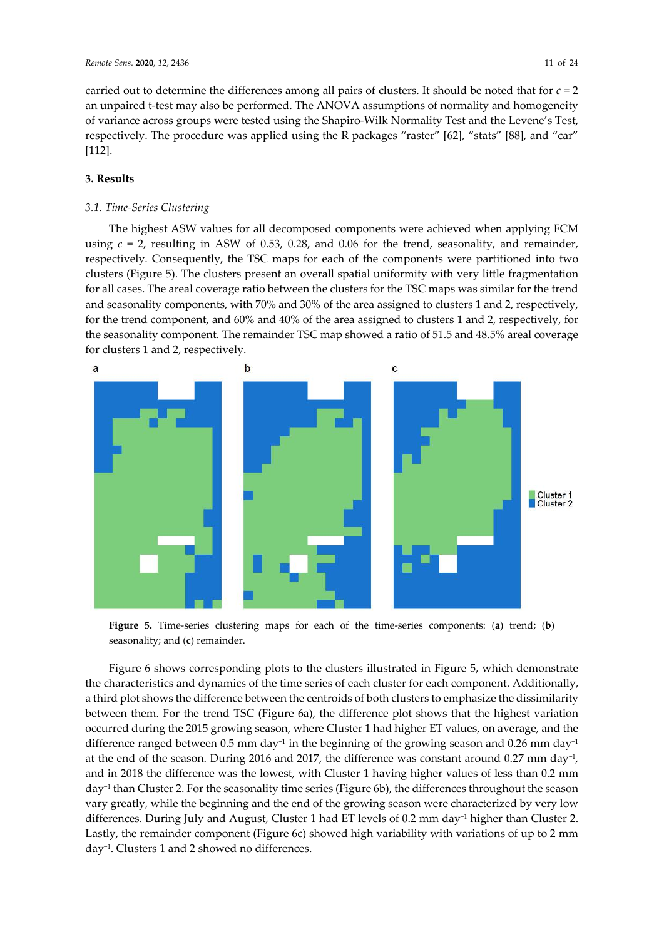carried out to determine the differences among all pairs of clusters. It should be noted that for  $c = 2$ an unpaired t-test may also be performed. The ANOVA assumptions of normality and homogeneity of variance across groups were tested using the Shapiro-Wilk Normality Test and the Levene's Test, respectively. The procedure was applied using the R packages "raster" [62], "stats" [88], and "car" [112].

# **3. Results**

# *3.1. Time-Series Clustering*

The highest ASW values for all decomposed components were achieved when applying FCM using *c* = 2, resulting in ASW of 0.53, 0.28, and 0.06 for the trend, seasonality, and remainder, respectively. Consequently, the TSC maps for each of the components were partitioned into two clusters (Figure 5). The clusters present an overall spatial uniformity with very little fragmentation for all cases. The areal coverage ratio between the clusters for the TSC maps was similar for the trend and seasonality components, with 70% and 30% of the area assigned to clusters 1 and 2, respectively, for the trend component, and 60% and 40% of the area assigned to clusters 1 and 2, respectively, for the seasonality component. The remainder TSC map showed a ratio of 51.5 and 48.5% areal coverage for clusters 1 and 2, respectively.



**Figure 5.** Time-series clustering maps for each of the time-series components: (**a**) trend; (**b**) seasonality; and (**c**) remainder.

Figure 6 shows corresponding plots to the clusters illustrated in Figure 5, which demonstrate the characteristics and dynamics of the time series of each cluster for each component. Additionally, a third plot shows the difference between the centroids of both clusters to emphasize the dissimilarity between them. For the trend TSC (Figure 6a), the difference plot shows that the highest variation occurred during the 2015 growing season, where Cluster 1 had higher ET values, on average, and the difference ranged between 0.5 mm day<sup>-1</sup> in the beginning of the growing season and 0.26 mm day<sup>-1</sup> at the end of the season. During 2016 and 2017, the difference was constant around 0.27 mm day−1, and in 2018 the difference was the lowest, with Cluster 1 having higher values of less than 0.2 mm day−1 than Cluster 2. For the seasonality time series (Figure 6b), the differences throughout the season vary greatly, while the beginning and the end of the growing season were characterized by very low differences. During July and August, Cluster 1 had ET levels of 0.2 mm day−1 higher than Cluster 2. Lastly, the remainder component (Figure 6c) showed high variability with variations of up to 2 mm day−1. Clusters 1 and 2 showed no differences.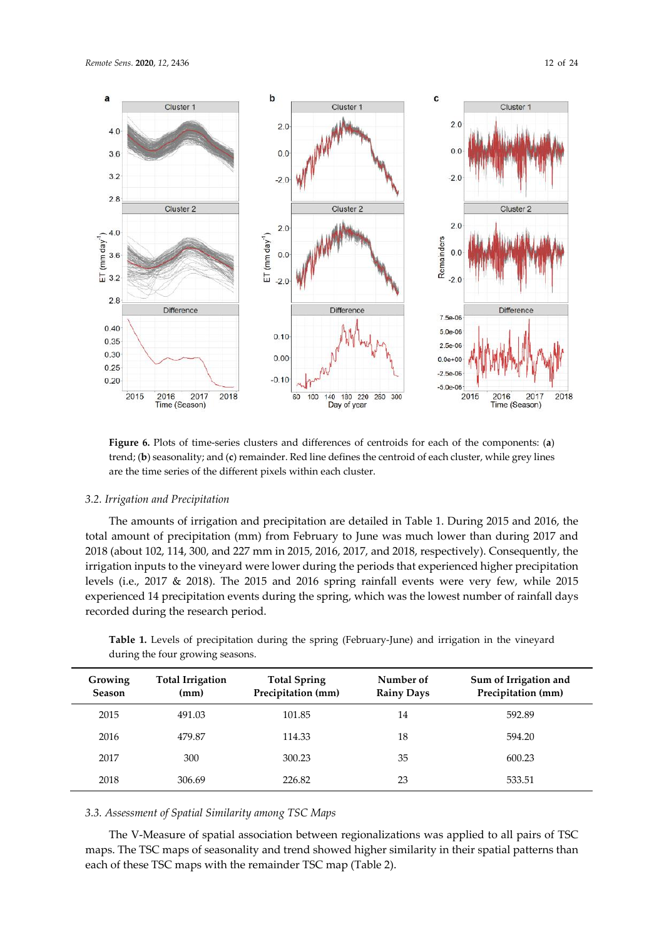

**Figure 6.** Plots of time-series clusters and differences of centroids for each of the components: (**a**) trend; (**b**) seasonality; and (**c**) remainder. Red line defines the centroid of each cluster, while grey lines are the time series of the different pixels within each cluster.

## *3.2. Irrigation and Precipitation*

The amounts of irrigation and precipitation are detailed in Table 1. During 2015 and 2016, the total amount of precipitation (mm) from February to June was much lower than during 2017 and 2018 (about 102, 114, 300, and 227 mm in 2015, 2016, 2017, and 2018, respectively). Consequently, the irrigation inputs to the vineyard were lower during the periods that experienced higher precipitation levels (i.e., 2017 & 2018). The 2015 and 2016 spring rainfall events were very few, while 2015 experienced 14 precipitation events during the spring, which was the lowest number of rainfall days recorded during the research period.

| Growing<br><b>Season</b> | <b>Total Irrigation</b><br>(mm) | <b>Total Spring</b><br>Precipitation (mm) | Number of<br><b>Rainy Days</b> | Sum of Irrigation and<br>Precipitation (mm) |
|--------------------------|---------------------------------|-------------------------------------------|--------------------------------|---------------------------------------------|
| 2015                     | 491.03                          | 101.85                                    | 14                             | 592.89                                      |
| 2016                     | 479.87                          | 114.33                                    | 18                             | 594.20                                      |
| 2017                     | 300                             | 300.23                                    | 35                             | 600.23                                      |
| 2018                     | 306.69                          | 226.82                                    | 23                             | 533.51                                      |

**Table 1.** Levels of precipitation during the spring (February-June) and irrigation in the vineyard during the four growing seasons.

#### *3.3. Assessment of Spatial Similarity among TSC Maps*

The V-Measure of spatial association between regionalizations was applied to all pairs of TSC maps. The TSC maps of seasonality and trend showed higher similarity in their spatial patterns than each of these TSC maps with the remainder TSC map (Table 2).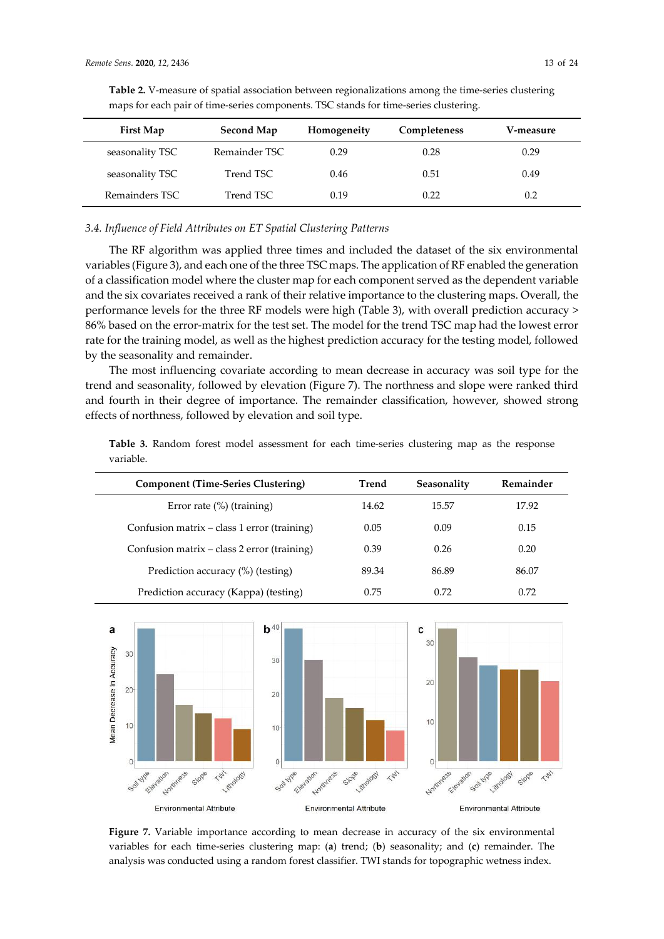| <b>First Map</b> | <b>Second Map</b> | Homogeneity | Completeness | V-measure |
|------------------|-------------------|-------------|--------------|-----------|
| seasonality TSC  | Remainder TSC     | 0.29        | 0.28         | 0.29      |
| seasonality TSC  | Trend TSC         | 0.46        | 0.51         | 0.49      |
| Remainders TSC   | Trend TSC         | 0.19        | 0.22         | 0.2       |

**Table 2.** V-measure of spatial association between regionalizations among the time-series clustering maps for each pair of time-series components. TSC stands for time-series clustering.

## *3.4. Influence of Field Attributes on ET Spatial Clustering Patterns*

The RF algorithm was applied three times and included the dataset of the six environmental variables (Figure 3), and each one of the three TSC maps. The application of RF enabled the generation of a classification model where the cluster map for each component served as the dependent variable and the six covariates received a rank of their relative importance to the clustering maps. Overall, the performance levels for the three RF models were high (Table 3), with overall prediction accuracy > 86% based on the error-matrix for the test set. The model for the trend TSC map had the lowest error rate for the training model, as well as the highest prediction accuracy for the testing model, followed by the seasonality and remainder.

The most influencing covariate according to mean decrease in accuracy was soil type for the trend and seasonality, followed by elevation (Figure 7). The northness and slope were ranked third and fourth in their degree of importance. The remainder classification, however, showed strong effects of northness, followed by elevation and soil type.

| <b>Component (Time-Series Clustering)</b>   | Trend | Seasonality | Remainder |
|---------------------------------------------|-------|-------------|-----------|
| Error rate $(\%)$ (training)                | 14.62 | 15.57       | 17.92     |
| Confusion matrix – class 1 error (training) | 0.05  | 0.09        | 0.15      |
| Confusion matrix – class 2 error (training) | 0.39  | 0.26        | 0.20      |
| Prediction accuracy (%) (testing)           | 89.34 | 86.89       | 86.07     |
| Prediction accuracy (Kappa) (testing)       | 0.75  | 0.72        | 0.72      |

**Table 3.** Random forest model assessment for each time-series clustering map as the response variable.



**Figure 7.** Variable importance according to mean decrease in accuracy of the six environmental variables for each time-series clustering map: (**a**) trend; (**b**) seasonality; and (**c**) remainder. The analysis was conducted using a random forest classifier. TWI stands for topographic wetness index.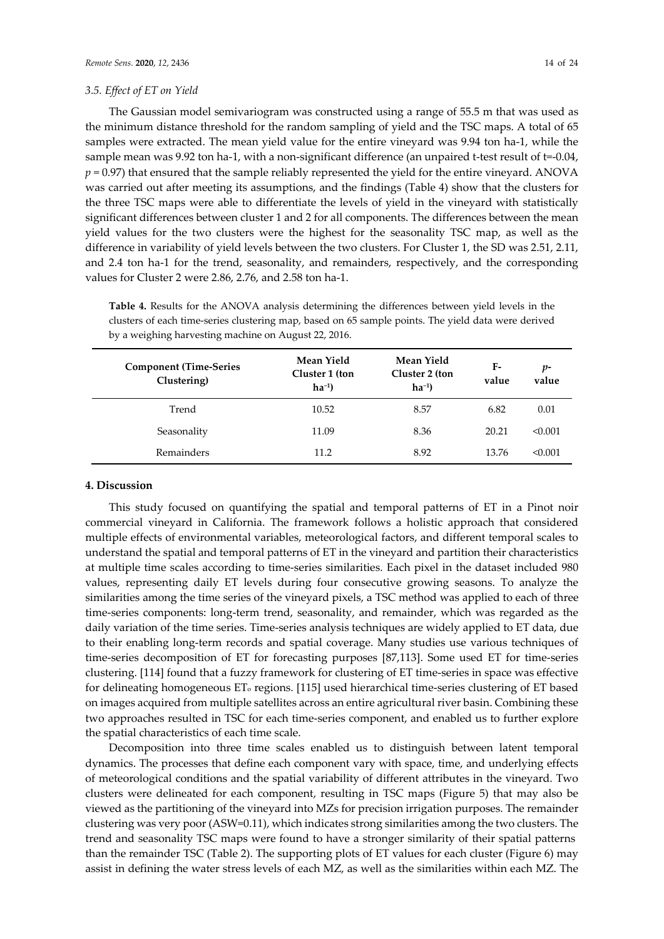# *3.5. Effect of ET on Yield*

The Gaussian model semivariogram was constructed using a range of 55.5 m that was used as the minimum distance threshold for the random sampling of yield and the TSC maps. A total of 65 samples were extracted. The mean yield value for the entire vineyard was 9.94 ton ha-1, while the sample mean was 9.92 ton ha-1, with a non-significant difference (an unpaired t-test result of t=-0.04,  $p = 0.97$ ) that ensured that the sample reliably represented the yield for the entire vineyard. ANOVA was carried out after meeting its assumptions, and the findings (Table 4) show that the clusters for the three TSC maps were able to differentiate the levels of yield in the vineyard with statistically significant differences between cluster 1 and 2 for all components. The differences between the mean yield values for the two clusters were the highest for the seasonality TSC map, as well as the difference in variability of yield levels between the two clusters. For Cluster 1, the SD was 2.51, 2.11, and 2.4 ton ha-1 for the trend, seasonality, and remainders, respectively, and the corresponding values for Cluster 2 were 2.86, 2.76, and 2.58 ton ha-1.

**Table 4.** Results for the ANOVA analysis determining the differences between yield levels in the clusters of each time-series clustering map, based on 65 sample points. The yield data were derived by a weighing harvesting machine on August 22, 2016.

| <b>Component (Time-Series</b><br>Clustering) | Mean Yield<br>Cluster 1 (ton<br>$ha^{-1}$ | Mean Yield<br>Cluster 2 (ton<br>$ha^{-1}$ | F-<br>value | $p-$<br>value |
|----------------------------------------------|-------------------------------------------|-------------------------------------------|-------------|---------------|
| Trend                                        | 10.52                                     | 8.57                                      | 6.82        | 0.01          |
| Seasonality                                  | 11.09                                     | 8.36                                      | 20.21       | < 0.001       |
| Remainders                                   | 11.2                                      | 8.92                                      | 13.76       | < 0.001       |

## **4. Discussion**

This study focused on quantifying the spatial and temporal patterns of ET in a Pinot noir commercial vineyard in California. The framework follows a holistic approach that considered multiple effects of environmental variables, meteorological factors, and different temporal scales to understand the spatial and temporal patterns of ET in the vineyard and partition their characteristics at multiple time scales according to time-series similarities. Each pixel in the dataset included 980 values, representing daily ET levels during four consecutive growing seasons. To analyze the similarities among the time series of the vineyard pixels, a TSC method was applied to each of three time-series components: long-term trend, seasonality, and remainder, which was regarded as the daily variation of the time series. Time-series analysis techniques are widely applied to ET data, due to their enabling long-term records and spatial coverage. Many studies use various techniques of time-series decomposition of ET for forecasting purposes [87,113]. Some used ET for time-series clustering. [114] found that a fuzzy framework for clustering of ET time-series in space was effective for delineating homogeneous ET<sub>o</sub> regions. [115] used hierarchical time-series clustering of ET based on images acquired from multiple satellites across an entire agricultural river basin. Combining these two approaches resulted in TSC for each time-series component, and enabled us to further explore the spatial characteristics of each time scale.

Decomposition into three time scales enabled us to distinguish between latent temporal dynamics. The processes that define each component vary with space, time, and underlying effects of meteorological conditions and the spatial variability of different attributes in the vineyard. Two clusters were delineated for each component, resulting in TSC maps (Figure 5) that may also be viewed as the partitioning of the vineyard into MZs for precision irrigation purposes. The remainder clustering was very poor (ASW=0.11), which indicates strong similarities among the two clusters. The trend and seasonality TSC maps were found to have a stronger similarity of their spatial patterns than the remainder TSC (Table 2). The supporting plots of ET values for each cluster (Figure 6) may assist in defining the water stress levels of each MZ, as well as the similarities within each MZ. The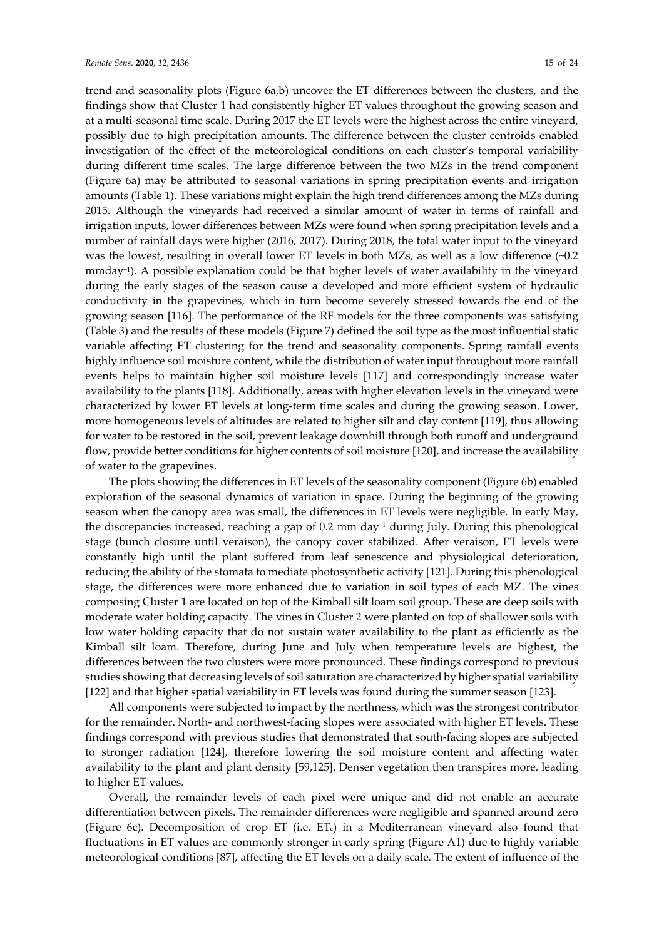trend and seasonality plots (Figure 6a,b) uncover the ET differences between the clusters, and the findings show that Cluster 1 had consistently higher ET values throughout the growing season and at a multi-seasonal time scale. During 2017 the ET levels were the highest across the entire vineyard, possibly due to high precipitation amounts. The difference between the cluster centroids enabled investigation of the effect of the meteorological conditions on each cluster's temporal variability during different time scales. The large difference between the two MZs in the trend component (Figure 6a) may be attributed to seasonal variations in spring precipitation events and irrigation amounts (Table 1). These variations might explain the high trend differences among the MZs during 2015. Although the vineyards had received a similar amount of water in terms of rainfall and irrigation inputs, lower differences between MZs were found when spring precipitation levels and a number of rainfall days were higher (2016, 2017). During 2018, the total water input to the vineyard was the lowest, resulting in overall lower ET levels in both MZs, as well as a low difference (~0.2 mmday−1). A possible explanation could be that higher levels of water availability in the vineyard during the early stages of the season cause a developed and more efficient system of hydraulic conductivity in the grapevines, which in turn become severely stressed towards the end of the growing season [116]. The performance of the RF models for the three components was satisfying (Table 3) and the results of these models (Figure 7) defined the soil type as the most influential static variable affecting ET clustering for the trend and seasonality components. Spring rainfall events highly influence soil moisture content, while the distribution of water input throughout more rainfall events helps to maintain higher soil moisture levels [117] and correspondingly increase water availability to the plants [118]. Additionally, areas with higher elevation levels in the vineyard were characterized by lower ET levels at long-term time scales and during the growing season. Lower, more homogeneous levels of altitudes are related to higher silt and clay content [119], thus allowing for water to be restored in the soil, prevent leakage downhill through both runoff and underground flow, provide better conditions for higher contents of soil moisture [120], and increase the availability of water to the grapevines.

The plots showing the differences in ET levels of the seasonality component (Figure 6b) enabled exploration of the seasonal dynamics of variation in space. During the beginning of the growing season when the canopy area was small, the differences in ET levels were negligible. In early May, the discrepancies increased, reaching a gap of 0.2 mm day−1 during July. During this phenological stage (bunch closure until veraison), the canopy cover stabilized. After veraison, ET levels were constantly high until the plant suffered from leaf senescence and physiological deterioration, reducing the ability of the stomata to mediate photosynthetic activity [121]. During this phenological stage, the differences were more enhanced due to variation in soil types of each MZ. The vines composing Cluster 1 are located on top of the Kimball silt loam soil group. These are deep soils with moderate water holding capacity. The vines in Cluster 2 were planted on top of shallower soils with low water holding capacity that do not sustain water availability to the plant as efficiently as the Kimball silt loam. Therefore, during June and July when temperature levels are highest, the differences between the two clusters were more pronounced. These findings correspond to previous studies showing that decreasing levels of soil saturation are characterized by higher spatial variability [122] and that higher spatial variability in ET levels was found during the summer season [123].

All components were subjected to impact by the northness, which was the strongest contributor for the remainder. North- and northwest-facing slopes were associated with higher ET levels. These findings correspond with previous studies that demonstrated that south-facing slopes are subjected to stronger radiation [124], therefore lowering the soil moisture content and affecting water availability to the plant and plant density [59,125]. Denser vegetation then transpires more, leading to higher ET values.

Overall, the remainder levels of each pixel were unique and did not enable an accurate differentiation between pixels. The remainder differences were negligible and spanned around zero (Figure 6c). Decomposition of crop ET (i.e. ETc) in a Mediterranean vineyard also found that fluctuations in ET values are commonly stronger in early spring (Figure A1) due to highly variable meteorological conditions [87], affecting the ET levels on a daily scale. The extent of influence of the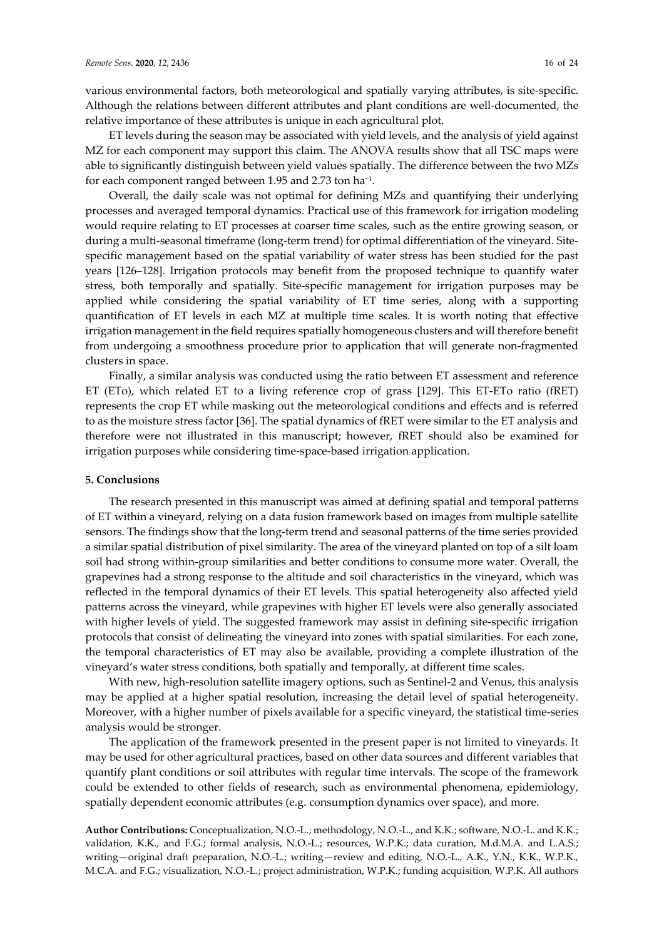various environmental factors, both meteorological and spatially varying attributes, is site-specific. Although the relations between different attributes and plant conditions are well-documented, the relative importance of these attributes is unique in each agricultural plot.

ET levels during the season may be associated with yield levels, and the analysis of yield against MZ for each component may support this claim. The ANOVA results show that all TSC maps were able to significantly distinguish between yield values spatially. The difference between the two MZs for each component ranged between 1.95 and 2.73 ton ha−1.

Overall, the daily scale was not optimal for defining MZs and quantifying their underlying processes and averaged temporal dynamics. Practical use of this framework for irrigation modeling would require relating to ET processes at coarser time scales, such as the entire growing season, or during a multi-seasonal timeframe (long-term trend) for optimal differentiation of the vineyard. Sitespecific management based on the spatial variability of water stress has been studied for the past years [126–128]. Irrigation protocols may benefit from the proposed technique to quantify water stress, both temporally and spatially. Site-specific management for irrigation purposes may be applied while considering the spatial variability of ET time series, along with a supporting quantification of ET levels in each MZ at multiple time scales. It is worth noting that effective irrigation management in the field requires spatially homogeneous clusters and will therefore benefit from undergoing a smoothness procedure prior to application that will generate non-fragmented clusters in space.

Finally, a similar analysis was conducted using the ratio between ET assessment and reference ET (ETo), which related ET to a living reference crop of grass [129]. This ET-ETo ratio (fRET) represents the crop ET while masking out the meteorological conditions and effects and is referred to as the moisture stress factor [36]. The spatial dynamics of fRET were similar to the ET analysis and therefore were not illustrated in this manuscript; however, fRET should also be examined for irrigation purposes while considering time-space-based irrigation application.

#### **5. Conclusions**

The research presented in this manuscript was aimed at defining spatial and temporal patterns of ET within a vineyard, relying on a data fusion framework based on images from multiple satellite sensors. The findings show that the long-term trend and seasonal patterns of the time series provided a similar spatial distribution of pixel similarity. The area of the vineyard planted on top of a silt loam soil had strong within-group similarities and better conditions to consume more water. Overall, the grapevines had a strong response to the altitude and soil characteristics in the vineyard, which was reflected in the temporal dynamics of their ET levels. This spatial heterogeneity also affected yield patterns across the vineyard, while grapevines with higher ET levels were also generally associated with higher levels of yield. The suggested framework may assist in defining site-specific irrigation protocols that consist of delineating the vineyard into zones with spatial similarities. For each zone, the temporal characteristics of ET may also be available, providing a complete illustration of the vineyard's water stress conditions, both spatially and temporally, at different time scales.

With new, high-resolution satellite imagery options, such as Sentinel-2 and Venus, this analysis may be applied at a higher spatial resolution, increasing the detail level of spatial heterogeneity. Moreover, with a higher number of pixels available for a specific vineyard, the statistical time-series analysis would be stronger.

The application of the framework presented in the present paper is not limited to vineyards. It may be used for other agricultural practices, based on other data sources and different variables that quantify plant conditions or soil attributes with regular time intervals. The scope of the framework could be extended to other fields of research, such as environmental phenomena, epidemiology, spatially dependent economic attributes (e.g. consumption dynamics over space), and more.

**Author Contributions:** Conceptualization, N.O.-L.; methodology, N.O.-L., and K.K.; software, N.O.-L. and K.K.; validation, K.K., and F.G.; formal analysis, N.O.-L.; resources, W.P.K.; data curation, M.d.M.A. and L.A.S.; writing—original draft preparation, N.O.-L.; writing—review and editing, N.O.-L., A.K., Y.N., K.K., W.P.K., M.C.A. and F.G.; visualization, N.O.-L.; project administration, W.P.K.; funding acquisition, W.P.K. All authors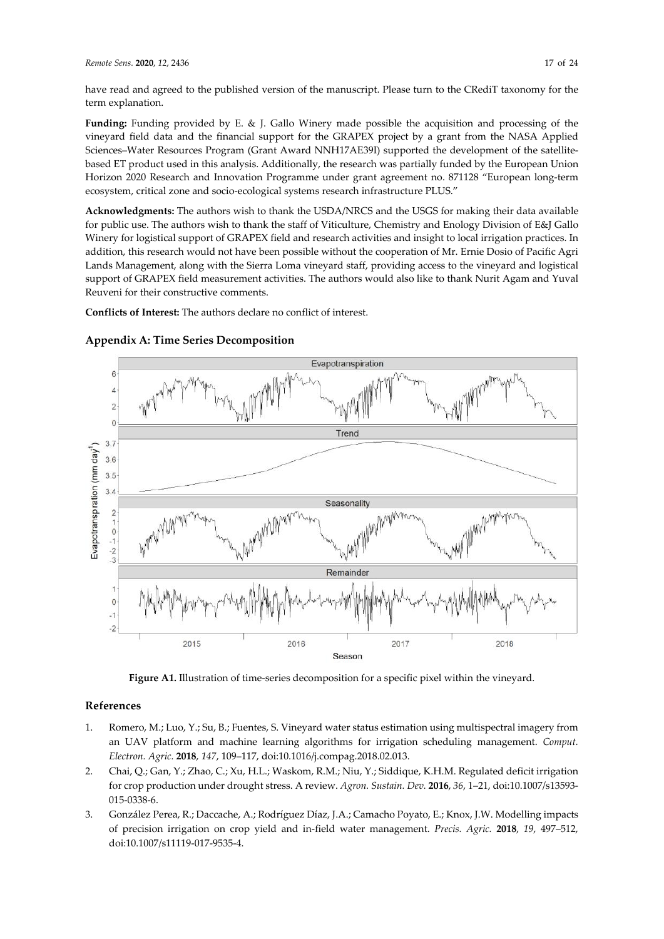have read and agreed to the published version of the manuscript. Please turn to the CRediT taxonomy for the term explanation.

**Funding:** Funding provided by E. & J. Gallo Winery made possible the acquisition and processing of the vineyard field data and the financial support for the GRAPEX project by a grant from the NASA Applied Sciences–Water Resources Program (Grant Award NNH17AE39I) supported the development of the satellitebased ET product used in this analysis. Additionally, the research was partially funded by the European Union Horizon 2020 Research and Innovation Programme under grant agreement no. 871128 "European long-term ecosystem, critical zone and socio-ecological systems research infrastructure PLUS."

**Acknowledgments:** The authors wish to thank the USDA/NRCS and the USGS for making their data available for public use. The authors wish to thank the staff of Viticulture, Chemistry and Enology Division of E&J Gallo Winery for logistical support of GRAPEX field and research activities and insight to local irrigation practices. In addition, this research would not have been possible without the cooperation of Mr. Ernie Dosio of Pacific Agri Lands Management, along with the Sierra Loma vineyard staff, providing access to the vineyard and logistical support of GRAPEX field measurement activities. The authors would also like to thank Nurit Agam and Yuval Reuveni for their constructive comments.

**Conflicts of Interest:** The authors declare no conflict of interest.



# **Appendix A: Time Series Decomposition**

**Figure A1.** Illustration of time-series decomposition for a specific pixel within the vineyard.

# **References**

- 1. Romero, M.; Luo, Y.; Su, B.; Fuentes, S. Vineyard water status estimation using multispectral imagery from an UAV platform and machine learning algorithms for irrigation scheduling management. *Comput. Electron. Agric.* **2018**, *147*, 109–117, doi:10.1016/j.compag.2018.02.013.
- 2. Chai, Q.; Gan, Y.; Zhao, C.; Xu, H.L.; Waskom, R.M.; Niu, Y.; Siddique, K.H.M. Regulated deficit irrigation for crop production under drought stress. A review. *Agron. Sustain. Dev.* **2016**, *36*, 1–21, doi:10.1007/s13593- 015-0338-6.
- 3. González Perea, R.; Daccache, A.; Rodríguez Díaz, J.A.; Camacho Poyato, E.; Knox, J.W. Modelling impacts of precision irrigation on crop yield and in-field water management. *Precis. Agric.* **2018**, *19*, 497–512, doi:10.1007/s11119-017-9535-4.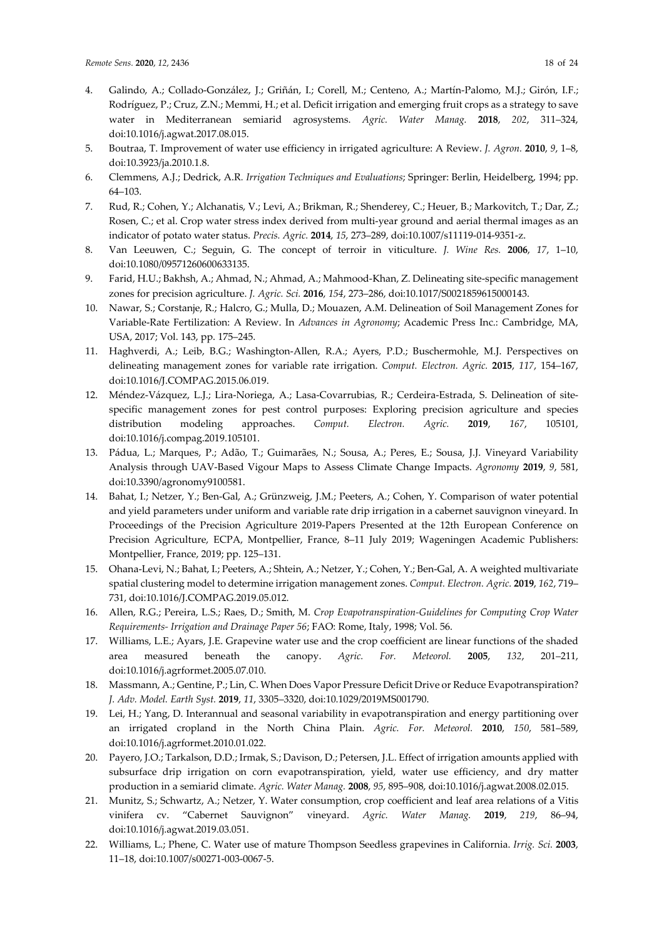- 5. Boutraa, T. Improvement of water use efficiency in irrigated agriculture: A Review. *J. Agron.* **2010**, *9*, 1–8, doi:10.3923/ja.2010.1.8.
- 6. Clemmens, A.J.; Dedrick, A.R*. Irrigation Techniques and Evaluations*; Springer: Berlin, Heidelberg, 1994; pp. 64–103.
- 7. Rud, R.; Cohen, Y.; Alchanatis, V.; Levi, A.; Brikman, R.; Shenderey, C.; Heuer, B.; Markovitch, T.; Dar, Z.; Rosen, C.; et al. Crop water stress index derived from multi-year ground and aerial thermal images as an indicator of potato water status. *Precis. Agric.* **2014**, *15*, 273–289, doi:10.1007/s11119-014-9351-z.
- 8. Van Leeuwen, C.; Seguin, G. The concept of terroir in viticulture. *J. Wine Res.* **2006**, *17*, 1–10, doi:10.1080/09571260600633135.
- 9. Farid, H.U.; Bakhsh, A.; Ahmad, N.; Ahmad, A.; Mahmood-Khan, Z. Delineating site-specific management zones for precision agriculture. *J. Agric. Sci.* **2016**, *154*, 273–286, doi:10.1017/S0021859615000143.
- 10. Nawar, S.; Corstanje, R.; Halcro, G.; Mulla, D.; Mouazen, A.M. Delineation of Soil Management Zones for Variable-Rate Fertilization: A Review. In *Advances in Agronomy*; Academic Press Inc.: Cambridge, MA, USA, 2017; Vol. 143, pp. 175–245.
- 11. Haghverdi, A.; Leib, B.G.; Washington-Allen, R.A.; Ayers, P.D.; Buschermohle, M.J. Perspectives on delineating management zones for variable rate irrigation. *Comput. Electron. Agric.* **2015**, *117*, 154–167, doi:10.1016/J.COMPAG.2015.06.019.
- 12. Méndez-Vázquez, L.J.; Lira-Noriega, A.; Lasa-Covarrubias, R.; Cerdeira-Estrada, S. Delineation of sitespecific management zones for pest control purposes: Exploring precision agriculture and species distribution modeling approaches. *Comput. Electron. Agric.* **2019**, *167*, 105101, doi:10.1016/j.compag.2019.105101.
- 13. Pádua, L.; Marques, P.; Adão, T.; Guimarães, N.; Sousa, A.; Peres, E.; Sousa, J.J. Vineyard Variability Analysis through UAV-Based Vigour Maps to Assess Climate Change Impacts. *Agronomy* **2019**, *9*, 581, doi:10.3390/agronomy9100581.
- 14. Bahat, I.; Netzer, Y.; Ben-Gal, A.; Grünzweig, J.M.; Peeters, A.; Cohen, Y. Comparison of water potential and yield parameters under uniform and variable rate drip irrigation in a cabernet sauvignon vineyard. In Proceedings of the Precision Agriculture 2019-Papers Presented at the 12th European Conference on Precision Agriculture, ECPA, Montpellier, France, 8–11 July 2019; Wageningen Academic Publishers: Montpellier, France, 2019; pp. 125–131.
- 15. Ohana-Levi, N.; Bahat, I.; Peeters, A.; Shtein, A.; Netzer, Y.; Cohen, Y.; Ben-Gal, A. A weighted multivariate spatial clustering model to determine irrigation management zones. *Comput. Electron. Agric.* **2019**, *162*, 719– 731, doi:10.1016/J.COMPAG.2019.05.012.
- 16. Allen, R.G.; Pereira, L.S.; Raes, D.; Smith, M. *Crop Evapotranspiration-Guidelines for Computing Crop Water Requirements- Irrigation and Drainage Paper 56*; FAO: Rome, Italy, 1998; Vol. 56.
- 17. Williams, L.E.; Ayars, J.E. Grapevine water use and the crop coefficient are linear functions of the shaded area measured beneath the canopy. *Agric. For. Meteorol.* **2005**, *132*, 201–211, doi:10.1016/j.agrformet.2005.07.010.
- 18. Massmann, A.; Gentine, P.; Lin, C. When Does Vapor Pressure Deficit Drive or Reduce Evapotranspiration? *J. Adv. Model. Earth Syst.* **2019**, *11*, 3305–3320, doi:10.1029/2019MS001790.
- 19. Lei, H.; Yang, D. Interannual and seasonal variability in evapotranspiration and energy partitioning over an irrigated cropland in the North China Plain. *Agric. For. Meteorol.* **2010**, *150*, 581–589, doi:10.1016/j.agrformet.2010.01.022.
- 20. Payero, J.O.; Tarkalson, D.D.; Irmak, S.; Davison, D.; Petersen, J.L. Effect of irrigation amounts applied with subsurface drip irrigation on corn evapotranspiration, yield, water use efficiency, and dry matter production in a semiarid climate. *Agric. Water Manag.* **2008**, *95*, 895–908, doi:10.1016/j.agwat.2008.02.015.
- 21. Munitz, S.; Schwartz, A.; Netzer, Y. Water consumption, crop coefficient and leaf area relations of a Vitis vinifera cv. "Cabernet Sauvignon" vineyard. *Agric. Water Manag.* **2019**, *219*, 86–94, doi:10.1016/j.agwat.2019.03.051.
- 22. Williams, L.; Phene, C. Water use of mature Thompson Seedless grapevines in California. *Irrig. Sci.* **2003**, 11–18, doi:10.1007/s00271-003-0067-5.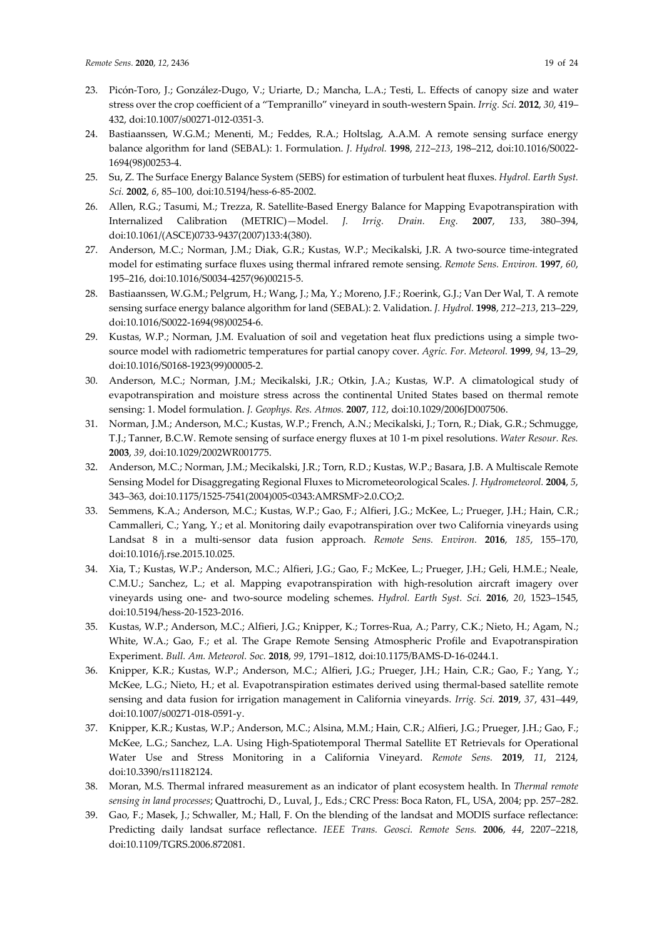- 23. Picón-Toro, J.; González-Dugo, V.; Uriarte, D.; Mancha, L.A.; Testi, L. Effects of canopy size and water stress over the crop coefficient of a "Tempranillo" vineyard in south-western Spain. *Irrig. Sci.* **2012**, *30*, 419– 432, doi:10.1007/s00271-012-0351-3.
- 24. Bastiaanssen, W.G.M.; Menenti, M.; Feddes, R.A.; Holtslag, A.A.M. A remote sensing surface energy balance algorithm for land (SEBAL): 1. Formulation. *J. Hydrol.* **1998**, *212*–*213*, 198–212, doi:10.1016/S0022- 1694(98)00253-4.
- 25. Su, Z. The Surface Energy Balance System (SEBS) for estimation of turbulent heat fluxes. *Hydrol. Earth Syst. Sci.* **2002**, *6*, 85–100, doi:10.5194/hess-6-85-2002.
- 26. Allen, R.G.; Tasumi, M.; Trezza, R. Satellite-Based Energy Balance for Mapping Evapotranspiration with Internalized Calibration (METRIC)—Model. *J. Irrig. Drain. Eng.* **2007**, *133*, 380–394, doi:10.1061/(ASCE)0733-9437(2007)133:4(380).
- 27. Anderson, M.C.; Norman, J.M.; Diak, G.R.; Kustas, W.P.; Mecikalski, J.R. A two-source time-integrated model for estimating surface fluxes using thermal infrared remote sensing. *Remote Sens. Environ.* **1997**, *60*, 195–216, doi:10.1016/S0034-4257(96)00215-5.
- 28. Bastiaanssen, W.G.M.; Pelgrum, H.; Wang, J.; Ma, Y.; Moreno, J.F.; Roerink, G.J.; Van Der Wal, T. A remote sensing surface energy balance algorithm for land (SEBAL): 2. Validation. *J. Hydrol.* **1998**, *212*–*213*, 213–229, doi:10.1016/S0022-1694(98)00254-6.
- 29. Kustas, W.P.; Norman, J.M. Evaluation of soil and vegetation heat flux predictions using a simple twosource model with radiometric temperatures for partial canopy cover. *Agric. For. Meteorol.* **1999**, *94*, 13–29, doi:10.1016/S0168-1923(99)00005-2.
- 30. Anderson, M.C.; Norman, J.M.; Mecikalski, J.R.; Otkin, J.A.; Kustas, W.P. A climatological study of evapotranspiration and moisture stress across the continental United States based on thermal remote sensing: 1. Model formulation. *J. Geophys. Res. Atmos.* **2007**, *112*, doi:10.1029/2006JD007506.
- 31. Norman, J.M.; Anderson, M.C.; Kustas, W.P.; French, A.N.; Mecikalski, J.; Torn, R.; Diak, G.R.; Schmugge, T.J.; Tanner, B.C.W. Remote sensing of surface energy fluxes at 10 1-m pixel resolutions. *Water Resour. Res.* **2003**, *39*, doi:10.1029/2002WR001775.
- 32. Anderson, M.C.; Norman, J.M.; Mecikalski, J.R.; Torn, R.D.; Kustas, W.P.; Basara, J.B. A Multiscale Remote Sensing Model for Disaggregating Regional Fluxes to Micrometeorological Scales. *J. Hydrometeorol.* **2004**, *5*, 343–363, doi:10.1175/1525-7541(2004)005<0343:AMRSMF>2.0.CO;2.
- 33. Semmens, K.A.; Anderson, M.C.; Kustas, W.P.; Gao, F.; Alfieri, J.G.; McKee, L.; Prueger, J.H.; Hain, C.R.; Cammalleri, C.; Yang, Y.; et al. Monitoring daily evapotranspiration over two California vineyards using Landsat 8 in a multi-sensor data fusion approach. *Remote Sens. Environ.* **2016**, *185*, 155–170, doi:10.1016/j.rse.2015.10.025.
- 34. Xia, T.; Kustas, W.P.; Anderson, M.C.; Alfieri, J.G.; Gao, F.; McKee, L.; Prueger, J.H.; Geli, H.M.E.; Neale, C.M.U.; Sanchez, L.; et al. Mapping evapotranspiration with high-resolution aircraft imagery over vineyards using one- and two-source modeling schemes. *Hydrol. Earth Syst. Sci.* **2016**, *20*, 1523–1545, doi:10.5194/hess-20-1523-2016.
- 35. Kustas, W.P.; Anderson, M.C.; Alfieri, J.G.; Knipper, K.; Torres-Rua, A.; Parry, C.K.; Nieto, H.; Agam, N.; White, W.A.; Gao, F.; et al. The Grape Remote Sensing Atmospheric Profile and Evapotranspiration Experiment. *Bull. Am. Meteorol. Soc.* **2018**, *99*, 1791–1812, doi:10.1175/BAMS-D-16-0244.1.
- 36. Knipper, K.R.; Kustas, W.P.; Anderson, M.C.; Alfieri, J.G.; Prueger, J.H.; Hain, C.R.; Gao, F.; Yang, Y.; McKee, L.G.; Nieto, H.; et al. Evapotranspiration estimates derived using thermal-based satellite remote sensing and data fusion for irrigation management in California vineyards. *Irrig. Sci.* **2019**, *37*, 431–449, doi:10.1007/s00271-018-0591-y.
- 37. Knipper, K.R.; Kustas, W.P.; Anderson, M.C.; Alsina, M.M.; Hain, C.R.; Alfieri, J.G.; Prueger, J.H.; Gao, F.; McKee, L.G.; Sanchez, L.A. Using High-Spatiotemporal Thermal Satellite ET Retrievals for Operational Water Use and Stress Monitoring in a California Vineyard. *Remote Sens.* **2019**, *11*, 2124, doi:10.3390/rs11182124.
- 38. Moran, M.S. Thermal infrared measurement as an indicator of plant ecosystem health. In *Thermal remote sensing in land processes*; Quattrochi, D., Luval, J., Eds.; CRC Press: Boca Raton, FL, USA, 2004; pp. 257–282.
- 39. Gao, F.; Masek, J.; Schwaller, M.; Hall, F. On the blending of the landsat and MODIS surface reflectance: Predicting daily landsat surface reflectance. *IEEE Trans. Geosci. Remote Sens.* **2006**, *44*, 2207–2218, doi:10.1109/TGRS.2006.872081.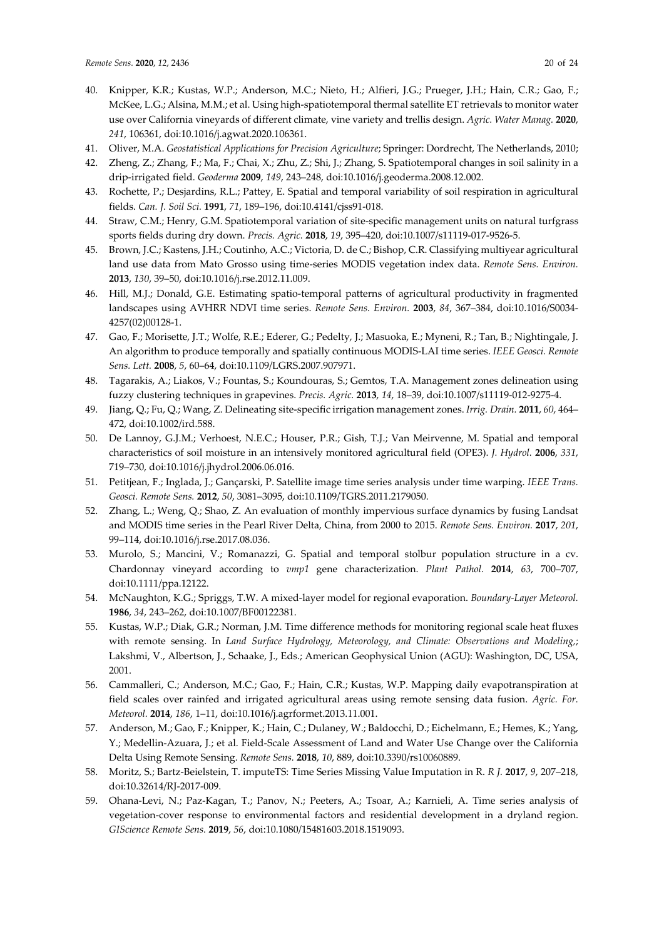- 40. Knipper, K.R.; Kustas, W.P.; Anderson, M.C.; Nieto, H.; Alfieri, J.G.; Prueger, J.H.; Hain, C.R.; Gao, F.; McKee, L.G.; Alsina, M.M.; et al. Using high-spatiotemporal thermal satellite ET retrievals to monitor water use over California vineyards of different climate, vine variety and trellis design. *Agric. Water Manag.* **2020**, *241*, 106361, doi:10.1016/j.agwat.2020.106361.
- 41. Oliver, M.A. *Geostatistical Applications for Precision Agriculture*; Springer: Dordrecht, The Netherlands, 2010;
- 42. Zheng, Z.; Zhang, F.; Ma, F.; Chai, X.; Zhu, Z.; Shi, J.; Zhang, S. Spatiotemporal changes in soil salinity in a drip-irrigated field. *Geoderma* **2009**, *149*, 243–248, doi:10.1016/j.geoderma.2008.12.002.
- 43. Rochette, P.; Desjardins, R.L.; Pattey, E. Spatial and temporal variability of soil respiration in agricultural fields. *Can. J. Soil Sci.* **1991**, *71*, 189–196, doi:10.4141/cjss91-018.
- 44. Straw, C.M.; Henry, G.M. Spatiotemporal variation of site-specific management units on natural turfgrass sports fields during dry down. *Precis. Agric.* **2018**, *19*, 395–420, doi:10.1007/s11119-017-9526-5.
- 45. Brown, J.C.; Kastens, J.H.; Coutinho, A.C.; Victoria, D. de C.; Bishop, C.R. Classifying multiyear agricultural land use data from Mato Grosso using time-series MODIS vegetation index data. *Remote Sens. Environ.* **2013**, *130*, 39–50, doi:10.1016/j.rse.2012.11.009.
- 46. Hill, M.J.; Donald, G.E. Estimating spatio-temporal patterns of agricultural productivity in fragmented landscapes using AVHRR NDVI time series. *Remote Sens. Environ.* **2003**, *84*, 367–384, doi:10.1016/S0034- 4257(02)00128-1.
- 47. Gao, F.; Morisette, J.T.; Wolfe, R.E.; Ederer, G.; Pedelty, J.; Masuoka, E.; Myneni, R.; Tan, B.; Nightingale, J. An algorithm to produce temporally and spatially continuous MODIS-LAI time series. *IEEE Geosci. Remote Sens. Lett.* **2008**, *5*, 60–64, doi:10.1109/LGRS.2007.907971.
- 48. Tagarakis, A.; Liakos, V.; Fountas, S.; Koundouras, S.; Gemtos, T.A. Management zones delineation using fuzzy clustering techniques in grapevines. *Precis. Agric.* **2013**, *14*, 18–39, doi:10.1007/s11119-012-9275-4.
- 49. Jiang, Q.; Fu, Q.; Wang, Z. Delineating site-specific irrigation management zones. *Irrig. Drain.* **2011**, *60*, 464– 472, doi:10.1002/ird.588.
- 50. De Lannoy, G.J.M.; Verhoest, N.E.C.; Houser, P.R.; Gish, T.J.; Van Meirvenne, M. Spatial and temporal characteristics of soil moisture in an intensively monitored agricultural field (OPE3). *J. Hydrol.* **2006**, *331*, 719–730, doi:10.1016/j.jhydrol.2006.06.016.
- 51. Petitjean, F.; Inglada, J.; Gançarski, P. Satellite image time series analysis under time warping. *IEEE Trans. Geosci. Remote Sens.* **2012**, *50*, 3081–3095, doi:10.1109/TGRS.2011.2179050.
- 52. Zhang, L.; Weng, Q.; Shao, Z. An evaluation of monthly impervious surface dynamics by fusing Landsat and MODIS time series in the Pearl River Delta, China, from 2000 to 2015. *Remote Sens. Environ.* **2017**, *201*, 99–114, doi:10.1016/j.rse.2017.08.036.
- 53. Murolo, S.; Mancini, V.; Romanazzi, G. Spatial and temporal stolbur population structure in a cv. Chardonnay vineyard according to *vmp1* gene characterization. *Plant Pathol.* **2014**, *63*, 700–707, doi:10.1111/ppa.12122.
- 54. McNaughton, K.G.; Spriggs, T.W. A mixed-layer model for regional evaporation. *Boundary-Layer Meteorol.* **1986**, *34*, 243–262, doi:10.1007/BF00122381.
- 55. Kustas, W.P.; Diak, G.R.; Norman, J.M. Time difference methods for monitoring regional scale heat fluxes with remote sensing. In *Land Surface Hydrology, Meteorology, and Climate: Observations and Modeling,*; Lakshmi, V., Albertson, J., Schaake, J., Eds.; American Geophysical Union (AGU): Washington, DC, USA, 2001.
- 56. Cammalleri, C.; Anderson, M.C.; Gao, F.; Hain, C.R.; Kustas, W.P. Mapping daily evapotranspiration at field scales over rainfed and irrigated agricultural areas using remote sensing data fusion. *Agric. For. Meteorol.* **2014**, *186*, 1–11, doi:10.1016/j.agrformet.2013.11.001.
- 57. Anderson, M.; Gao, F.; Knipper, K.; Hain, C.; Dulaney, W.; Baldocchi, D.; Eichelmann, E.; Hemes, K.; Yang, Y.; Medellin-Azuara, J.; et al. Field-Scale Assessment of Land and Water Use Change over the California Delta Using Remote Sensing. *Remote Sens.* **2018**, *10*, 889, doi:10.3390/rs10060889.
- 58. Moritz, S.; Bartz-Beielstein, T. imputeTS: Time Series Missing Value Imputation in R. *R J.* **2017**, *9*, 207–218, doi:10.32614/RJ-2017-009.
- 59. Ohana-Levi, N.; Paz-Kagan, T.; Panov, N.; Peeters, A.; Tsoar, A.; Karnieli, A. Time series analysis of vegetation-cover response to environmental factors and residential development in a dryland region. *GIScience Remote Sens.* **2019**, *56*, doi:10.1080/15481603.2018.1519093.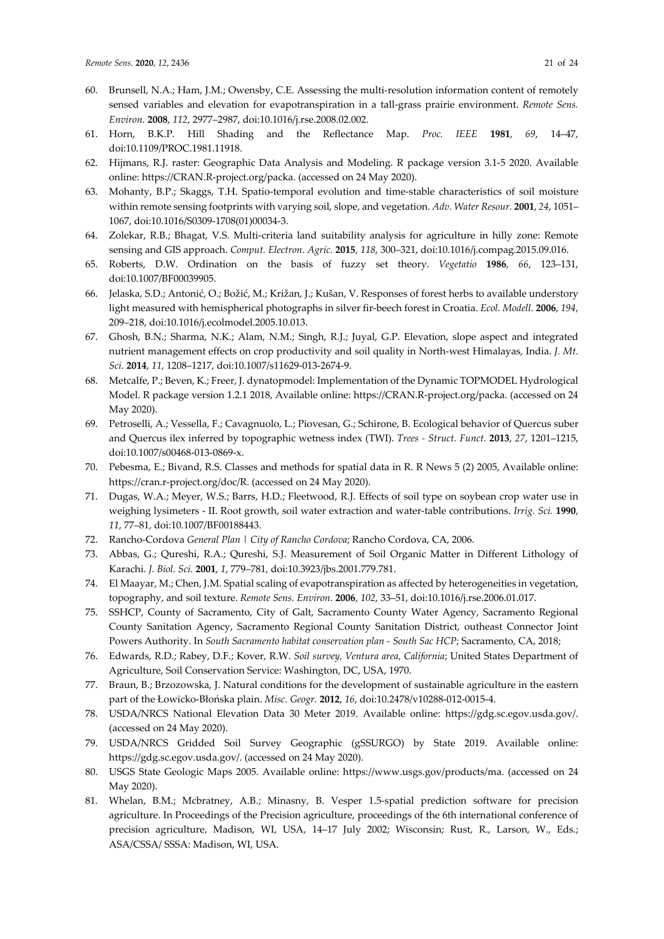- 60. Brunsell, N.A.; Ham, J.M.; Owensby, C.E. Assessing the multi-resolution information content of remotely sensed variables and elevation for evapotranspiration in a tall-grass prairie environment. *Remote Sens. Environ.* **2008**, *112*, 2977–2987, doi:10.1016/j.rse.2008.02.002.
- 61. Horn, B.K.P. Hill Shading and the Reflectance Map. *Proc. IEEE* **1981**, *69*, 14–47, doi:10.1109/PROC.1981.11918.
- 62. Hijmans, R.J. raster: Geographic Data Analysis and Modeling. R package version 3.1-5 2020. Available online: https://CRAN.R-project.org/packa. (accessed on 24 May 2020).
- 63. Mohanty, B.P.; Skaggs, T.H. Spatio-temporal evolution and time-stable characteristics of soil moisture within remote sensing footprints with varying soil, slope, and vegetation. *Adv. Water Resour.* **2001**, *24*, 1051– 1067, doi:10.1016/S0309-1708(01)00034-3.
- 64. Zolekar, R.B.; Bhagat, V.S. Multi-criteria land suitability analysis for agriculture in hilly zone: Remote sensing and GIS approach. *Comput. Electron. Agric.* **2015**, *118*, 300–321, doi:10.1016/j.compag.2015.09.016.
- 65. Roberts, D.W. Ordination on the basis of fuzzy set theory. *Vegetatio* **1986**, *66*, 123–131, doi:10.1007/BF00039905.
- 66. Jelaska, S.D.; Antonić, O.; Božić, M.; Križan, J.; Kušan, V. Responses of forest herbs to available understory light measured with hemispherical photographs in silver fir-beech forest in Croatia. *Ecol. Modell.* **2006**, *194*, 209–218, doi:10.1016/j.ecolmodel.2005.10.013.
- 67. Ghosh, B.N.; Sharma, N.K.; Alam, N.M.; Singh, R.J.; Juyal, G.P. Elevation, slope aspect and integrated nutrient management effects on crop productivity and soil quality in North-west Himalayas, India. *J. Mt. Sci.* **2014**, *11*, 1208–1217, doi:10.1007/s11629-013-2674-9.
- 68. Metcalfe, P.; Beven, K.; Freer, J. dynatopmodel: Implementation of the Dynamic TOPMODEL Hydrological Model. R package version 1.2.1 2018, Available online: https://CRAN.R-project.org/packa. (accessed on 24 May 2020).
- 69. Petroselli, A.; Vessella, F.; Cavagnuolo, L.; Piovesan, G.; Schirone, B. Ecological behavior of Quercus suber and Quercus ilex inferred by topographic wetness index (TWI). *Trees - Struct. Funct.* **2013**, *27*, 1201–1215, doi:10.1007/s00468-013-0869-x.
- 70. Pebesma, E.; Bivand, R.S. Classes and methods for spatial data in R. R News 5 (2) 2005, Available online: https://cran.r-project.org/doc/R. (accessed on 24 May 2020).
- 71. Dugas, W.A.; Meyer, W.S.; Barrs, H.D.; Fleetwood, R.J. Effects of soil type on soybean crop water use in weighing lysimeters - II. Root growth, soil water extraction and water-table contributions. *Irrig. Sci.* **1990**, *11*, 77–81, doi:10.1007/BF00188443.
- 72. Rancho-Cordova *General Plan | City of Rancho Cordova*; Rancho Cordova, CA, 2006.
- 73. Abbas, G.; Qureshi, R.A.; Qureshi, S.J. Measurement of Soil Organic Matter in Different Lithology of Karachi. *J. Biol. Sci.* **2001**, *1*, 779–781, doi:10.3923/jbs.2001.779.781.
- 74. El Maayar, M.; Chen, J.M. Spatial scaling of evapotranspiration as affected by heterogeneities in vegetation, topography, and soil texture. *Remote Sens. Environ.* **2006**, *102*, 33–51, doi:10.1016/j.rse.2006.01.017.
- 75. SSHCP, County of Sacramento, City of Galt, Sacramento County Water Agency, Sacramento Regional County Sanitation Agency, Sacramento Regional County Sanitation District, outheast Connector Joint Powers Authority. In *South Sacramento habitat conservation plan - South Sac HCP*; Sacramento, CA, 2018;
- 76. Edwards, R.D.; Rabey, D.F.; Kover, R.W. *Soil survey, Ventura area, California*; United States Department of Agriculture, Soil Conservation Service: Washington, DC, USA, 1970.
- 77. Braun, B.; Brzozowska, J. Natural conditions for the development of sustainable agriculture in the eastern part of the Łowicko-Błońska plain. *Misc. Geogr.* **2012**, *16*, doi:10.2478/v10288-012-0015-4.
- 78. USDA/NRCS National Elevation Data 30 Meter 2019. Available online: https://gdg.sc.egov.usda.gov/. (accessed on 24 May 2020).
- 79. USDA/NRCS Gridded Soil Survey Geographic (gSSURGO) by State 2019. Available online: https://gdg.sc.egov.usda.gov/. (accessed on 24 May 2020).
- 80. USGS State Geologic Maps 2005. Available online: https://www.usgs.gov/products/ma. (accessed on 24 May 2020).
- 81. Whelan, B.M.; Mcbratney, A.B.; Minasny, B. Vesper 1.5-spatial prediction software for precision agriculture. In Proceedings of the Precision agriculture, proceedings of the 6th international conference of precision agriculture, Madison, WI, USA, 14–17 July 2002; Wisconsin; Rust, R., Larson, W., Eds.; ASA/CSSA/ SSSA: Madison, WI, USA.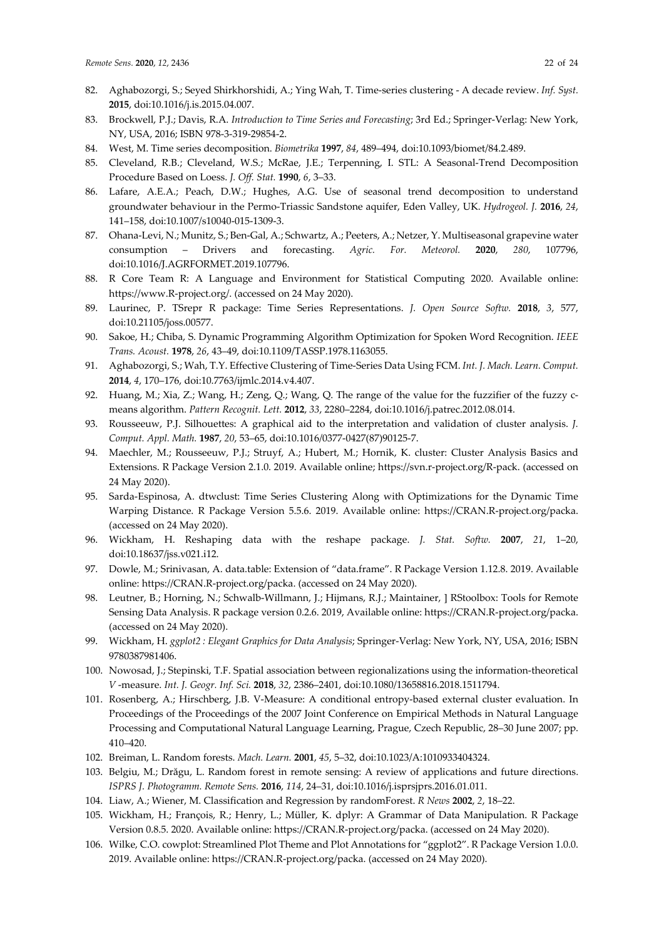- 83. Brockwell, P.J.; Davis, R.A. *Introduction to Time Series and Forecasting*; 3rd Ed.; Springer-Verlag: New York, NY, USA, 2016; ISBN 978-3-319-29854-2.
- 84. West, M. Time series decomposition. *Biometrika* **1997**, *84*, 489–494, doi:10.1093/biomet/84.2.489.
- 85. Cleveland, R.B.; Cleveland, W.S.; McRae, J.E.; Terpenning, I. STL: A Seasonal-Trend Decomposition Procedure Based on Loess. *J. Off. Stat.* **1990**, *6*, 3–33.
- 86. Lafare, A.E.A.; Peach, D.W.; Hughes, A.G. Use of seasonal trend decomposition to understand groundwater behaviour in the Permo-Triassic Sandstone aquifer, Eden Valley, UK. *Hydrogeol. J.* **2016**, *24*, 141–158, doi:10.1007/s10040-015-1309-3.
- 87. Ohana-Levi, N.; Munitz, S.; Ben-Gal, A.; Schwartz, A.; Peeters, A.; Netzer, Y. Multiseasonal grapevine water consumption – Drivers and forecasting. *Agric. For. Meteorol.* **2020**, *280*, 107796, doi:10.1016/J.AGRFORMET.2019.107796.
- 88. R Core Team R: A Language and Environment for Statistical Computing 2020. Available online: https://www.R-project.org/. (accessed on 24 May 2020).
- 89. Laurinec, P. TSrepr R package: Time Series Representations. *J. Open Source Softw.* **2018**, *3*, 577, doi:10.21105/joss.00577.
- 90. Sakoe, H.; Chiba, S. Dynamic Programming Algorithm Optimization for Spoken Word Recognition. *IEEE Trans. Acoust.* **1978**, *26*, 43–49, doi:10.1109/TASSP.1978.1163055.
- 91. Aghabozorgi, S.; Wah, T.Y. Effective Clustering of Time-Series Data Using FCM. *Int. J. Mach. Learn. Comput.* **2014**, *4*, 170–176, doi:10.7763/ijmlc.2014.v4.407.
- 92. Huang, M.; Xia, Z.; Wang, H.; Zeng, Q.; Wang, Q. The range of the value for the fuzzifier of the fuzzy cmeans algorithm. *Pattern Recognit. Lett.* **2012**, *33*, 2280–2284, doi:10.1016/j.patrec.2012.08.014.
- 93. Rousseeuw, P.J. Silhouettes: A graphical aid to the interpretation and validation of cluster analysis. *J. Comput. Appl. Math.* **1987**, *20*, 53–65, doi:10.1016/0377-0427(87)90125-7.
- 94. Maechler, M.; Rousseeuw, P.J.; Struyf, A.; Hubert, M.; Hornik, K. cluster: Cluster Analysis Basics and Extensions. R Package Version 2.1.0. 2019. Available online; https://svn.r-project.org/R-pack. (accessed on 24 May 2020).
- 95. Sarda-Espinosa, A. dtwclust: Time Series Clustering Along with Optimizations for the Dynamic Time Warping Distance. R Package Version 5.5.6. 2019. Available online: https://CRAN.R-project.org/packa. (accessed on 24 May 2020).
- 96. Wickham, H. Reshaping data with the reshape package. *J. Stat. Softw.* **2007**, *21*, 1–20, doi:10.18637/jss.v021.i12.
- 97. Dowle, M.; Srinivasan, A. data.table: Extension of "data.frame". R Package Version 1.12.8. 2019. Available online: https://CRAN.R-project.org/packa. (accessed on 24 May 2020).
- 98. Leutner, B.; Horning, N.; Schwalb-Willmann, J.; Hijmans, R.J.; Maintainer, ] RStoolbox: Tools for Remote Sensing Data Analysis. R package version 0.2.6. 2019, Available online: https://CRAN.R-project.org/packa. (accessed on 24 May 2020).
- 99. Wickham, H. *ggplot2 : Elegant Graphics for Data Analysis*; Springer-Verlag: New York, NY, USA, 2016; ISBN 9780387981406.
- 100. Nowosad, J.; Stepinski, T.F. Spatial association between regionalizations using the information-theoretical *V* -measure. *Int. J. Geogr. Inf. Sci.* **2018**, *32*, 2386–2401, doi:10.1080/13658816.2018.1511794.
- 101. Rosenberg, A.; Hirschberg, J.B. V-Measure: A conditional entropy-based external cluster evaluation. In Proceedings of the Proceedings of the 2007 Joint Conference on Empirical Methods in Natural Language Processing and Computational Natural Language Learning, Prague, Czech Republic, 28–30 June 2007; pp. 410–420.
- 102. Breiman, L. Random forests. *Mach. Learn.* **2001**, *45*, 5–32, doi:10.1023/A:1010933404324.
- 103. Belgiu, M.; Drăgu, L. Random forest in remote sensing: A review of applications and future directions. *ISPRS J. Photogramm. Remote Sens.* **2016**, *114*, 24–31, doi:10.1016/j.isprsjprs.2016.01.011.
- 104. Liaw, A.; Wiener, M. Classification and Regression by randomForest. *R News* **2002**, *2*, 18–22.
- 105. Wickham, H.; François, R.; Henry, L.; Müller, K. dplyr: A Grammar of Data Manipulation. R Package Version 0.8.5. 2020. Available online: https://CRAN.R-project.org/packa. (accessed on 24 May 2020).
- 106. Wilke, C.O. cowplot: Streamlined Plot Theme and Plot Annotations for "ggplot2". R Package Version 1.0.0. 2019. Available online: https://CRAN.R-project.org/packa. (accessed on 24 May 2020).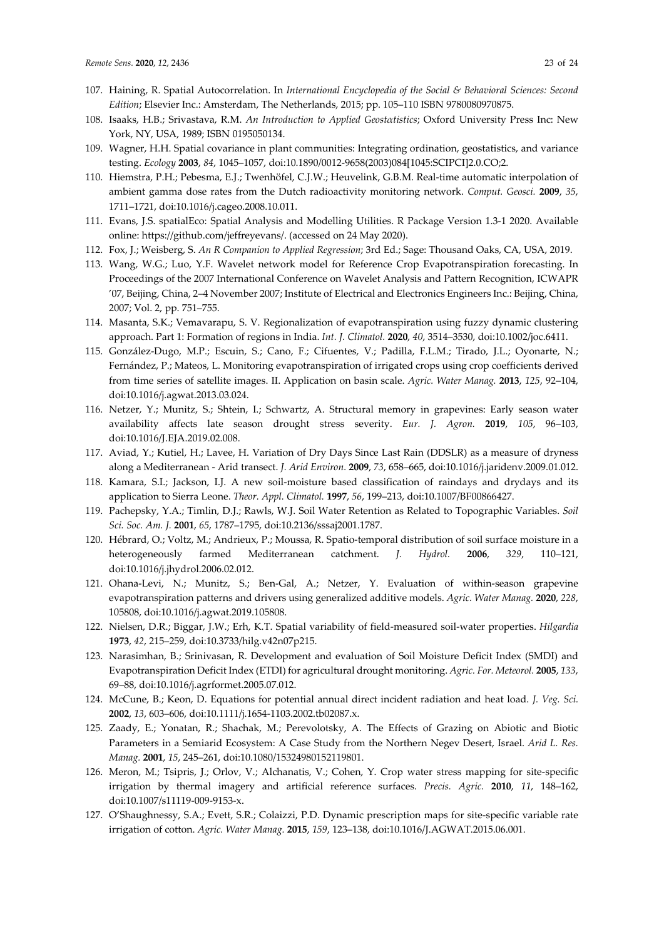- 107. Haining, R. Spatial Autocorrelation. In *International Encyclopedia of the Social & Behavioral Sciences: Second Edition*; Elsevier Inc.: Amsterdam, The Netherlands, 2015; pp. 105–110 ISBN 9780080970875.
- 108. Isaaks, H.B.; Srivastava, R.M. *An Introduction to Applied Geostαtistics*; Oxford University Press Inc: New York, NY, USA, 1989; ISBN 0195050134.
- 109. Wagner, H.H. Spatial covariance in plant communities: Integrating ordination, geostatistics, and variance testing. *Ecology* **2003**, *84*, 1045–1057, doi:10.1890/0012-9658(2003)084[1045:SCIPCI]2.0.CO;2.
- 110. Hiemstra, P.H.; Pebesma, E.J.; Twenhöfel, C.J.W.; Heuvelink, G.B.M. Real-time automatic interpolation of ambient gamma dose rates from the Dutch radioactivity monitoring network. *Comput. Geosci.* **2009**, *35*, 1711–1721, doi:10.1016/j.cageo.2008.10.011.
- 111. Evans, J.S. spatialEco: Spatial Analysis and Modelling Utilities. R Package Version 1.3-1 2020. Available online: https://github.com/jeffreyevans/. (accessed on 24 May 2020).
- 112. Fox, J.; Weisberg, S. *An R Companion to Applied Regression*; 3rd Ed.; Sage: Thousand Oaks, CA, USA, 2019.
- 113. Wang, W.G.; Luo, Y.F. Wavelet network model for Reference Crop Evapotranspiration forecasting. In Proceedings of the 2007 International Conference on Wavelet Analysis and Pattern Recognition, ICWAPR '07, Beijing, China, 2–4 November 2007; Institute of Electrical and Electronics Engineers Inc.: Beijing, China, 2007; Vol. 2, pp. 751–755.
- 114. Masanta, S.K.; Vemavarapu, S. V. Regionalization of evapotranspiration using fuzzy dynamic clustering approach. Part 1: Formation of regions in India. *Int. J. Climatol.* **2020**, *40*, 3514–3530, doi:10.1002/joc.6411.
- 115. González-Dugo, M.P.; Escuin, S.; Cano, F.; Cifuentes, V.; Padilla, F.L.M.; Tirado, J.L.; Oyonarte, N.; Fernández, P.; Mateos, L. Monitoring evapotranspiration of irrigated crops using crop coefficients derived from time series of satellite images. II. Application on basin scale. *Agric. Water Manag.* **2013**, *125*, 92–104, doi:10.1016/j.agwat.2013.03.024.
- 116. Netzer, Y.; Munitz, S.; Shtein, I.; Schwartz, A. Structural memory in grapevines: Early season water availability affects late season drought stress severity. *Eur. J. Agron.* **2019**, *105*, 96–103, doi:10.1016/J.EJA.2019.02.008.
- 117. Aviad, Y.; Kutiel, H.; Lavee, H. Variation of Dry Days Since Last Rain (DDSLR) as a measure of dryness along a Mediterranean - Arid transect. *J. Arid Environ.* **2009**, *73*, 658–665, doi:10.1016/j.jaridenv.2009.01.012.
- 118. Kamara, S.I.; Jackson, I.J. A new soil-moisture based classification of raindays and drydays and its application to Sierra Leone. *Theor. Appl. Climatol.* **1997**, *56*, 199–213, doi:10.1007/BF00866427.
- 119. Pachepsky, Y.A.; Timlin, D.J.; Rawls, W.J. Soil Water Retention as Related to Topographic Variables. *Soil Sci. Soc. Am. J.* **2001**, *65*, 1787–1795, doi:10.2136/sssaj2001.1787.
- 120. Hébrard, O.; Voltz, M.; Andrieux, P.; Moussa, R. Spatio-temporal distribution of soil surface moisture in a heterogeneously farmed Mediterranean catchment. *J. Hydrol.* **2006**, *329*, 110–121, doi:10.1016/j.jhydrol.2006.02.012.
- 121. Ohana-Levi, N.; Munitz, S.; Ben-Gal, A.; Netzer, Y. Evaluation of within-season grapevine evapotranspiration patterns and drivers using generalized additive models. *Agric. Water Manag.* **2020**, *228*, 105808, doi:10.1016/j.agwat.2019.105808.
- 122. Nielsen, D.R.; Biggar, J.W.; Erh, K.T. Spatial variability of field-measured soil-water properties. *Hilgardia* **1973**, *42*, 215–259, doi:10.3733/hilg.v42n07p215.
- 123. Narasimhan, B.; Srinivasan, R. Development and evaluation of Soil Moisture Deficit Index (SMDI) and Evapotranspiration Deficit Index (ETDI) for agricultural drought monitoring. *Agric. For. Meteorol.* **2005**, *133*, 69–88, doi:10.1016/j.agrformet.2005.07.012.
- 124. McCune, B.; Keon, D. Equations for potential annual direct incident radiation and heat load. *J. Veg. Sci.* **2002**, *13*, 603–606, doi:10.1111/j.1654-1103.2002.tb02087.x.
- 125. Zaady, E.; Yonatan, R.; Shachak, M.; Perevolotsky, A. The Effects of Grazing on Abiotic and Biotic Parameters in a Semiarid Ecosystem: A Case Study from the Northern Negev Desert, Israel. *Arid L. Res. Manag.* **2001**, *15*, 245–261, doi:10.1080/15324980152119801.
- 126. Meron, M.; Tsipris, J.; Orlov, V.; Alchanatis, V.; Cohen, Y. Crop water stress mapping for site-specific irrigation by thermal imagery and artificial reference surfaces. *Precis. Agric.* **2010**, *11*, 148–162, doi:10.1007/s11119-009-9153-x.
- 127. O'Shaughnessy, S.A.; Evett, S.R.; Colaizzi, P.D. Dynamic prescription maps for site-specific variable rate irrigation of cotton. *Agric. Water Manag.* **2015**, *159*, 123–138, doi:10.1016/J.AGWAT.2015.06.001.